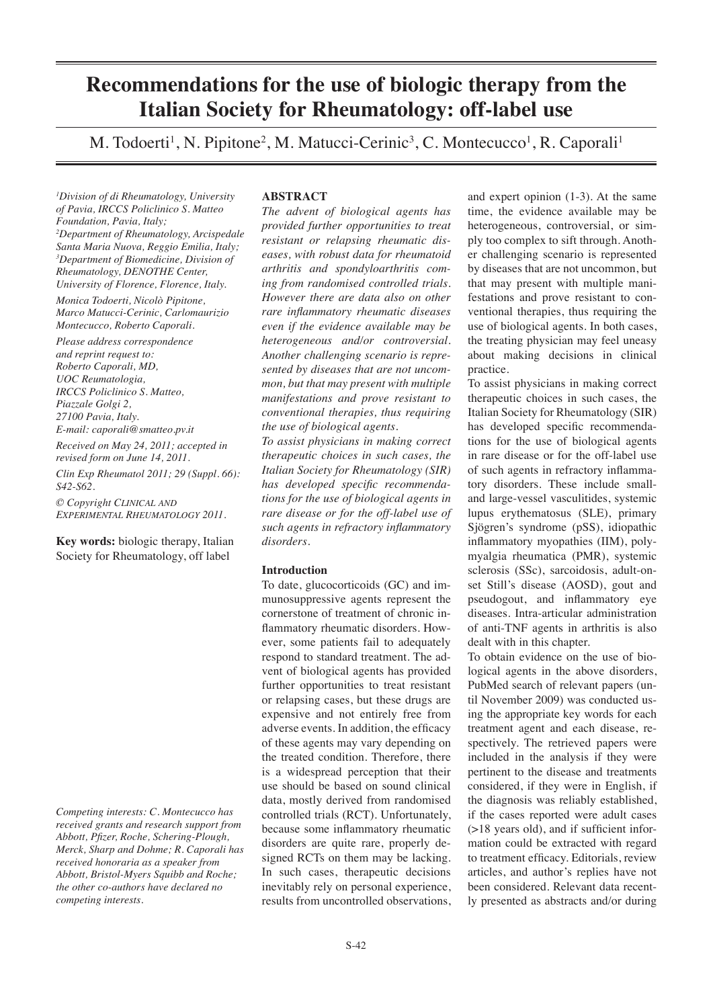# **Recommendations for the use of biologic therapy from the Italian Society for Rheumatology: off-label use**

M. Todoerti<sup>1</sup>, N. Pipitone<sup>2</sup>, M. Matucci-Cerinic<sup>3</sup>, C. Montecucco<sup>1</sup>, R. Caporali<sup>1</sup>

*1 Division of di Rheumatology, University of Pavia, IRCCS Policlinico S. Matteo Foundation, Pavia, Italy; 2 Department of Rheumatology, Arcispedale Santa Maria Nuova, Reggio Emilia, Italy; 3 Department of Biomedicine, Division of Rheumatology, DENOTHE Center, University of Florence, Florence, Italy.*

*Monica Todoerti, Nicolò Pipitone, Marco Matucci-Cerinic, Carlomaurizio Montecucco, Roberto Caporali.*

*Please address correspondence and reprint request to: Roberto Caporali, MD, UOC Reumatologia, IRCCS Policlinico S. Matteo, Piazzale Golgi 2, 27100 Pavia, Italy. E-mail: caporali@smatteo.pv.it Received on May 24, 2011; accepted in* 

*revised form on June 14, 2011. Clin Exp Rheumatol 2011; 29 (Suppl. 66): S42-S62.*

*© Copyright CLINICAL AND EXPERIMENTAL RHEUMATOLOGY 2011.*

**Key words:** biologic therapy, Italian Society for Rheumatology, off label

*Competing interests: C. Montecucco has received grants and research support from Abbott, Pfizer, Roche, Schering-Plough, Merck, Sharp and Dohme; R. Caporali has received honoraria as a speaker from Abbott, Bristol-Myers Squibb and Roche; the other co-authors have declared no competing interests.*

# **ABSTRACT**

*The advent of biological agents has provided further opportunities to treat resistant or relapsing rheumatic diseases, with robust data for rheumatoid arthritis and spondyloarthritis coming from randomised controlled trials. However there are data also on other rare inflammatory rheumatic diseases even if the evidence available may be heterogeneous and/or controversial. Another challenging scenario is represented by diseases that are not uncommon, but that may present with multiple manifestations and prove resistant to conventional therapies, thus requiring the use of biological agents.* 

*To assist physicians in making correct therapeutic choices in such cases, the Italian Society for Rheumatology (SIR) has developed specific recommendations for the use of biological agents in rare disease or for the off-label use of such agents in refractory inflammatory disorders.*

# **Introduction**

To date, glucocorticoids (GC) and immunosuppressive agents represent the cornerstone of treatment of chronic inflammatory rheumatic disorders. However, some patients fail to adequately respond to standard treatment. The advent of biological agents has provided further opportunities to treat resistant or relapsing cases, but these drugs are expensive and not entirely free from adverse events. In addition, the efficacy of these agents may vary depending on the treated condition. Therefore, there is a widespread perception that their use should be based on sound clinical data, mostly derived from randomised controlled trials (RCT). Unfortunately, because some inflammatory rheumatic disorders are quite rare, properly designed RCTs on them may be lacking. In such cases, therapeutic decisions inevitably rely on personal experience, results from uncontrolled observations,

and expert opinion (1-3). At the same time, the evidence available may be heterogeneous, controversial, or simply too complex to sift through. Another challenging scenario is represented by diseases that are not uncommon, but that may present with multiple manifestations and prove resistant to conventional therapies, thus requiring the use of biological agents. In both cases, the treating physician may feel uneasy about making decisions in clinical practice.

To assist physicians in making correct therapeutic choices in such cases, the Italian Society for Rheumatology (SIR) has developed specific recommendations for the use of biological agents in rare disease or for the off-label use of such agents in refractory inflammatory disorders. These include smalland large-vessel vasculitides, systemic lupus erythematosus (SLE), primary Sjögren's syndrome (pSS), idiopathic inflammatory myopathies (IIM), polymyalgia rheumatica (PMR), systemic sclerosis (SSc), sarcoidosis, adult-onset Still's disease (AOSD), gout and pseudogout, and inflammatory eye diseases. Intra-articular administration of anti-TNF agents in arthritis is also dealt with in this chapter.

To obtain evidence on the use of biological agents in the above disorders, PubMed search of relevant papers (until November 2009) was conducted using the appropriate key words for each treatment agent and each disease, respectively. The retrieved papers were included in the analysis if they were pertinent to the disease and treatments considered, if they were in English, if the diagnosis was reliably established, if the cases reported were adult cases (>18 years old), and if sufficient information could be extracted with regard to treatment efficacy. Editorials, review articles, and author's replies have not been considered. Relevant data recently presented as abstracts and/or during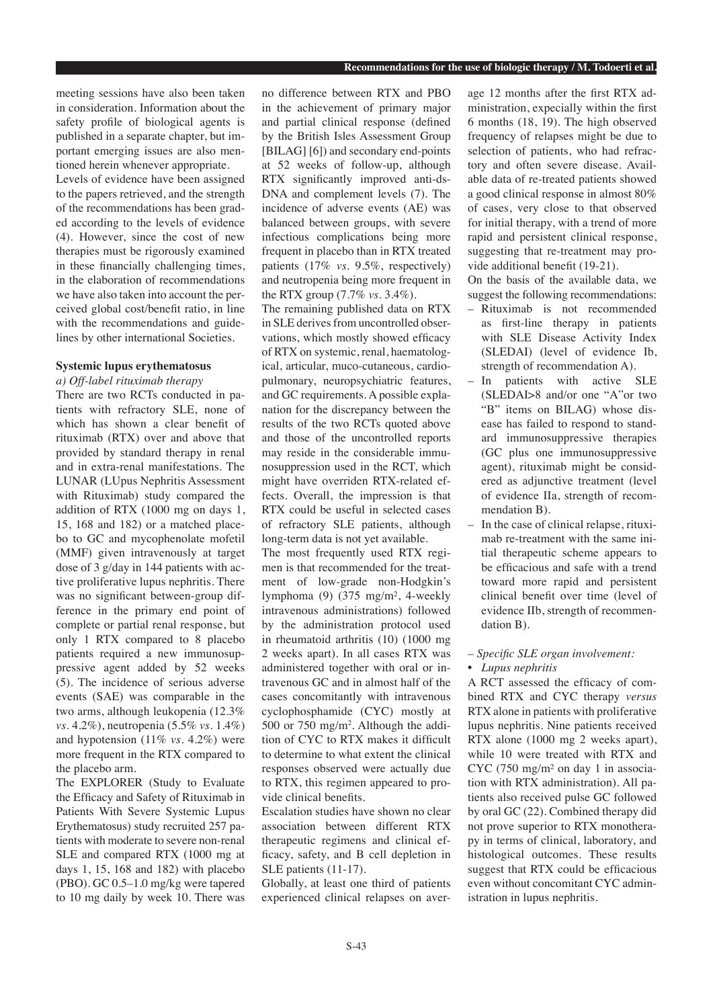meeting sessions have also been taken in consideration. Information about the safety profile of biological agents is published in a separate chapter, but important emerging issues are also mentioned herein whenever appropriate. Levels of evidence have been assigned to the papers retrieved, and the strength of the recommendations has been graded according to the levels of evidence (4). However, since the cost of new therapies must be rigorously examined in these financially challenging times, in the elaboration of recommendations we have also taken into account the perceived global cost/benefit ratio, in line with the recommendations and guidelines by other international Societies.

## **Systemic lupus erythematosus**

*a) Off-label rituximab therapy* 

There are two RCTs conducted in patients with refractory SLE, none of which has shown a clear benefit of rituximab (RTX) over and above that provided by standard therapy in renal and in extra-renal manifestations. The LUNAR (LUpus Nephritis Assessment with Rituximab) study compared the addition of RTX (1000 mg on days 1, 15, 168 and 182) or a matched placebo to GC and mycophenolate mofetil (MMF) given intravenously at target dose of 3 g/day in 144 patients with active proliferative lupus nephritis. There was no significant between-group difference in the primary end point of complete or partial renal response, but only 1 RTX compared to 8 placebo patients required a new immunosuppressive agent added by 52 weeks (5). The incidence of serious adverse events (SAE) was comparable in the two arms, although leukopenia (12.3% *vs.* 4.2%), neutropenia (5.5% *vs.* 1.4%) and hypotension (11% *vs.* 4.2%) were more frequent in the RTX compared to the placebo arm.

The EXPLORER (Study to Evaluate the Efficacy and Safety of Rituximab in Patients With Severe Systemic Lupus Erythematosus) study recruited 257 patients with moderate to severe non-renal SLE and compared RTX (1000 mg at days 1, 15, 168 and 182) with placebo (PBO). GC 0.5–1.0 mg/kg were tapered to 10 mg daily by week 10. There was

no difference between RTX and PBO in the achievement of primary major and partial clinical response (defined by the British Isles Assessment Group [BILAG] [6]) and secondary end-points at 52 weeks of follow-up, although RTX significantly improved anti-ds-DNA and complement levels (7). The incidence of adverse events (AE) was balanced between groups, with severe infectious complications being more frequent in placebo than in RTX treated patients (17% *vs*. 9.5%, respectively) and neutropenia being more frequent in the RTX group (7.7% *vs*. 3.4%).

The remaining published data on RTX in SLE derives from uncontrolled observations, which mostly showed efficacy of RTX on systemic, renal, haematological, articular, muco-cutaneous, cardiopulmonary, neuropsychiatric features, and GC requirements. A possible explanation for the discrepancy between the results of the two RCTs quoted above and those of the uncontrolled reports may reside in the considerable immunosuppression used in the RCT, which might have overriden RTX-related effects. Overall, the impression is that RTX could be useful in selected cases of refractory SLE patients, although long-term data is not yet available.

The most frequently used RTX regimen is that recommended for the treatment of low-grade non-Hodgkin's lymphoma (9) (375 mg/m², 4-weekly intravenous administrations) followed by the administration protocol used in rheumatoid arthritis (10) (1000 mg 2 weeks apart). In all cases RTX was administered together with oral or intravenous GC and in almost half of the cases concomitantly with intravenous cyclophosphamide (CYC) mostly at 500 or 750 mg/m2 . Although the addition of CYC to RTX makes it difficult to determine to what extent the clinical responses observed were actually due to RTX, this regimen appeared to provide clinical benefits.

Escalation studies have shown no clear association between different RTX therapeutic regimens and clinical efficacy, safety, and B cell depletion in SLE patients (11-17).

Globally, at least one third of patients experienced clinical relapses on average 12 months after the first RTX administration, expecially within the first 6 months (18, 19). The high observed frequency of relapses might be due to selection of patients, who had refractory and often severe disease. Available data of re-treated patients showed a good clinical response in almost 80% of cases, very close to that observed for initial therapy, with a trend of more rapid and persistent clinical response, suggesting that re-treatment may provide additional benefit (19-21).

On the basis of the available data, we suggest the following recommendations:

- Rituximab is not recommended as first-line therapy in patients with SLE Disease Activity Index (SLEDAI) (level of evidence Ib, strength of recommendation A).
- In patients with active SLE (SLEDAI>8 and/or one "A"or two "B" items on BILAG) whose disease has failed to respond to standard immunosuppressive therapies (GC plus one immunosuppressive agent), rituximab might be considered as adjunctive treatment (level of evidence IIa, strength of recommendation B).
- In the case of clinical relapse, rituximab re-treatment with the same initial therapeutic scheme appears to be efficacious and safe with a trend toward more rapid and persistent clinical benefit over time (level of evidence IIb, strength of recommendation B).
- *Specific SLE organ involvement:*
- *Lupus nephritis*

A RCT assessed the efficacy of combined RTX and CYC therapy *versus* RTX alone in patients with proliferative lupus nephritis. Nine patients received RTX alone (1000 mg 2 weeks apart), while 10 were treated with RTX and CYC (750 mg/m² on day 1 in association with RTX administration). All patients also received pulse GC followed by oral GC (22). Combined therapy did not prove superior to RTX monotherapy in terms of clinical, laboratory, and histological outcomes. These results suggest that RTX could be efficacious even without concomitant CYC administration in lupus nephritis.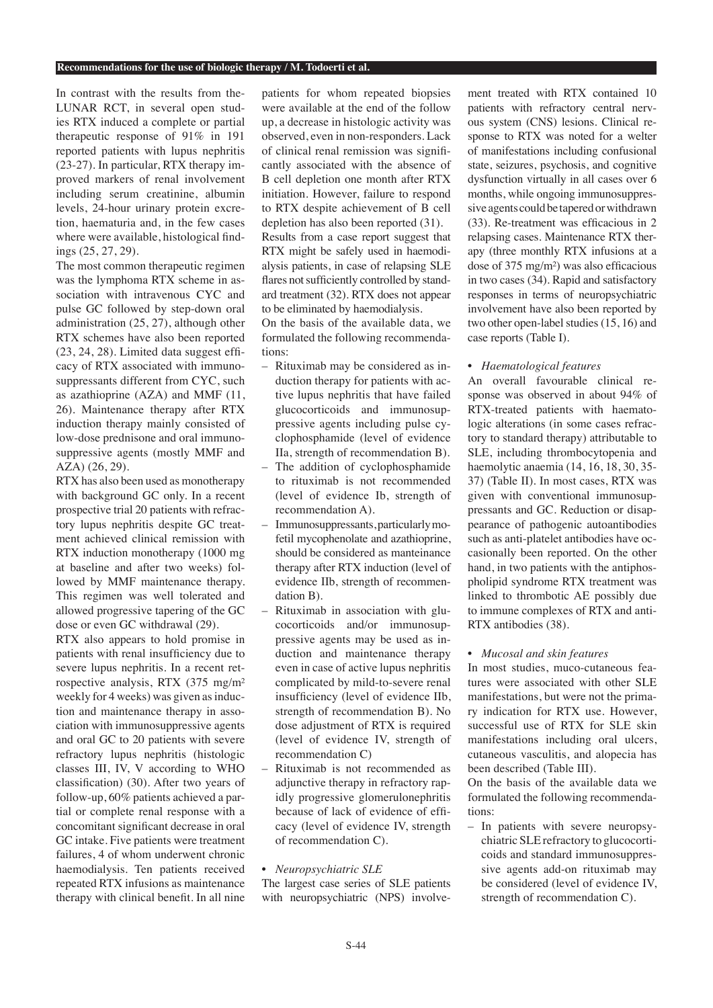In contrast with the results from the-LUNAR RCT, in several open studies RTX induced a complete or partial therapeutic response of 91% in 191 reported patients with lupus nephritis (23-27). In particular, RTX therapy improved markers of renal involvement including serum creatinine, albumin levels, 24-hour urinary protein excretion, haematuria and, in the few cases where were available, histological findings (25, 27, 29).

The most common therapeutic regimen was the lymphoma RTX scheme in association with intravenous CYC and pulse GC followed by step-down oral administration (25, 27), although other RTX schemes have also been reported (23, 24, 28). Limited data suggest efficacy of RTX associated with immunosuppressants different from CYC, such as azathioprine (AZA) and MMF (11, 26). Maintenance therapy after RTX induction therapy mainly consisted of low-dose prednisone and oral immunosuppressive agents (mostly MMF and AZA) (26, 29).

RTX has also been used as monotherapy with background GC only. In a recent prospective trial 20 patients with refractory lupus nephritis despite GC treatment achieved clinical remission with RTX induction monotherapy (1000 mg at baseline and after two weeks) followed by MMF maintenance therapy. This regimen was well tolerated and allowed progressive tapering of the GC dose or even GC withdrawal (29).

RTX also appears to hold promise in patients with renal insufficiency due to severe lupus nephritis. In a recent retrospective analysis, RTX (375 mg/m² weekly for 4 weeks) was given as induction and maintenance therapy in association with immunosuppressive agents and oral GC to 20 patients with severe refractory lupus nephritis (histologic classes III, IV, V according to WHO classification) (30). After two years of follow-up, 60% patients achieved a partial or complete renal response with a concomitant significant decrease in oral GC intake. Five patients were treatment failures, 4 of whom underwent chronic haemodialysis. Ten patients received repeated RTX infusions as maintenance therapy with clinical benefit. In all nine

patients for whom repeated biopsies were available at the end of the follow up, a decrease in histologic activity was observed, even in non-responders. Lack of clinical renal remission was significantly associated with the absence of B cell depletion one month after RTX initiation. However, failure to respond to RTX despite achievement of B cell depletion has also been reported (31).

Results from a case report suggest that RTX might be safely used in haemodialysis patients, in case of relapsing SLE flares not sufficiently controlled by standard treatment (32). RTX does not appear to be eliminated by haemodialysis.

On the basis of the available data, we formulated the following recommendations:

- Rituximab may be considered as induction therapy for patients with active lupus nephritis that have failed glucocorticoids and immunosuppressive agents including pulse cyclophosphamide (level of evidence IIa, strength of recommendation B).
- The addition of cyclophosphamide to rituximab is not recommended (level of evidence Ib, strength of recommendation A).
- Immunosuppressants, particularly mofetil mycophenolate and azathioprine, should be considered as manteinance therapy after RTX induction (level of evidence IIb, strength of recommendation B).
- Rituximab in association with glucocorticoids and/or immunosuppressive agents may be used as induction and maintenance therapy even in case of active lupus nephritis complicated by mild-to-severe renal insufficiency (level of evidence IIb, strength of recommendation B). No dose adjustment of RTX is required (level of evidence IV, strength of recommendation C)
- Rituximab is not recommended as adjunctive therapy in refractory rapidly progressive glomerulonephritis because of lack of evidence of efficacy (level of evidence IV, strength of recommendation C).

## • *Neuropsychiatric SLE*

The largest case series of SLE patients with neuropsychiatric (NPS) involve-

ment treated with RTX contained 10 patients with refractory central nervous system (CNS) lesions. Clinical response to RTX was noted for a welter of manifestations including confusional state, seizures, psychosis, and cognitive dysfunction virtually in all cases over 6 months, while ongoing immunosuppressive agents could be tapered or withdrawn (33). Re-treatment was efficacious in 2 relapsing cases. Maintenance RTX therapy (three monthly RTX infusions at a dose of 375 mg/m²) was also efficacious in two cases (34). Rapid and satisfactory responses in terms of neuropsychiatric involvement have also been reported by two other open-label studies (15, 16) and case reports (Table I).

• *Haematological features*

An overall favourable clinical response was observed in about 94% of RTX-treated patients with haematologic alterations (in some cases refractory to standard therapy) attributable to SLE, including thrombocytopenia and haemolytic anaemia (14, 16, 18, 30, 35- 37) (Table II). In most cases, RTX was given with conventional immunosuppressants and GC. Reduction or disappearance of pathogenic autoantibodies such as anti-platelet antibodies have occasionally been reported. On the other hand, in two patients with the antiphospholipid syndrome RTX treatment was linked to thrombotic AE possibly due to immune complexes of RTX and anti-RTX antibodies (38).

# • *Mucosal and skin features*

In most studies, muco-cutaneous features were associated with other SLE manifestations, but were not the primary indication for RTX use. However, successful use of RTX for SLE skin manifestations including oral ulcers, cutaneous vasculitis, and alopecia has been described (Table III).

On the basis of the available data we formulated the following recommendations:

– In patients with severe neuropsychiatric SLE refractory to glucocorticoids and standard immunosuppressive agents add-on rituximab may be considered (level of evidence IV, strength of recommendation C).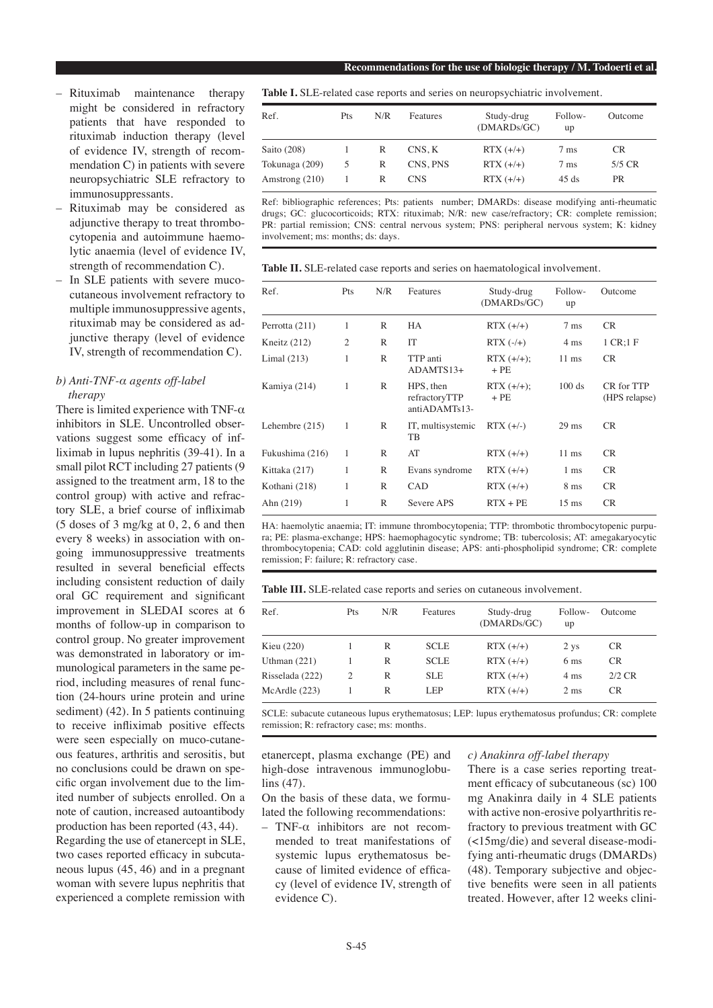- Rituximab maintenance therapy might be considered in refractory patients that have responded to rituximab induction therapy (level of evidence IV, strength of recommendation C) in patients with severe neuropsychiatric SLE refractory to immunosuppressants.
- Rituximab may be considered as adjunctive therapy to treat thrombocytopenia and autoimmune haemolytic anaemia (level of evidence IV, strength of recommendation C).
- In SLE patients with severe mucocutaneous involvement refractory to multiple immunosuppressive agents, rituximab may be considered as adjunctive therapy (level of evidence IV, strength of recommendation C).

## *b) Anti-TNF-α agents off-label therapy*

There is limited experience with TNF- $\alpha$ inhibitors in SLE. Uncontrolled observations suggest some efficacy of infliximab in lupus nephritis (39-41). In a small pilot RCT including 27 patients (9 assigned to the treatment arm, 18 to the control group) with active and refractory SLE, a brief course of infliximab (5 doses of 3 mg/kg at 0, 2, 6 and then every 8 weeks) in association with ongoing immunosuppressive treatments resulted in several beneficial effects including consistent reduction of daily oral GC requirement and significant improvement in SLEDAI scores at 6 months of follow-up in comparison to control group. No greater improvement was demonstrated in laboratory or immunological parameters in the same period, including measures of renal function (24-hours urine protein and urine sediment) (42). In 5 patients continuing to receive infliximab positive effects were seen especially on muco-cutaneous features, arthritis and serositis, but no conclusions could be drawn on specific organ involvement due to the limited number of subjects enrolled. On a note of caution, increased autoantibody production has been reported (43, 44). Regarding the use of etanercept in SLE, two cases reported efficacy in subcutaneous lupus (45, 46) and in a pregnant woman with severe lupus nephritis that experienced a complete remission with

**Table I.** SLE-related case reports and series on neuropsychiatric involvement.

| Ref.           | Pts | N/R | Features | Study-drug<br>(DMARDs/GC) | Follow-<br>up  | Outcome   |
|----------------|-----|-----|----------|---------------------------|----------------|-----------|
| Saito $(208)$  |     | R   | CNS. K   | $RTX (+/+)$               | $7 \text{ ms}$ | <b>CR</b> |
| Tokunaga (209) | 5   | R   | CNS, PNS | $RTX (+/+)$               | $7 \text{ ms}$ | $5/5$ CR  |
| Amstrong (210) |     | R   | CNS.     | $RTX (+/+)$               | 45 ds          | <b>PR</b> |

Ref: bibliographic references; Pts: patients number; DMARDs: disease modifying anti-rheumatic drugs; GC: glucocorticoids; RTX: rituximab; N/R: new case/refractory; CR: complete remission; PR: partial remission; CNS: central nervous system; PNS: peripheral nervous system; K: kidney involvement; ms: months; ds: days.

**Table II.** SLE-related case reports and series on haematological involvement.

| Ref.             | Pts            | N/R | Features                                    | Study-drug<br>(DMARDs/GC) | Follow-<br>up   | Outcome                     |
|------------------|----------------|-----|---------------------------------------------|---------------------------|-----------------|-----------------------------|
| Perrotta (211)   | 1              | R   | HA                                          | $RTX (+/+)$               | $7 \text{ ms}$  | CR.                         |
| Kneitz $(212)$   | $\overline{2}$ | R   | IT                                          | $RTX$ $(-/+)$             | $4 \text{ ms}$  | 1 CR:1 F                    |
| Limal $(213)$    | 1              | R   | TTP anti<br>ADAMTS13+                       | $RTX (+/+);$<br>$+$ PE    | $11 \text{ ms}$ | <b>CR</b>                   |
| Kamiya (214)     | 1              | R   | HPS, then<br>refractoryTTP<br>antiADAMTs13- | $RTX (+/+);$<br>$+$ PE    | 100 ds          | CR for TTP<br>(HPS relapse) |
| Lehembre $(215)$ | 1              | R   | IT, multisystemic<br>TВ                     | $RTX (+/-)$               | $29$ ms         | CR.                         |
| Fukushima (216)  | 1              | R   | AT                                          | $RTX (+/+)$               | $11 \text{ ms}$ | CR.                         |
| Kittaka (217)    | 1              | R   | Evans syndrome                              | $RTX (+/+)$               | $1 \text{ ms}$  | CR.                         |
| Kothani (218)    | 1              | R   | <b>CAD</b>                                  | $RTX (+/+)$               | 8 <sub>ms</sub> | CR.                         |
| Ahn $(219)$      | 1              | R   | Severe APS                                  | $RTX + PE$                | $15 \text{ ms}$ | <b>CR</b>                   |
|                  |                |     |                                             |                           |                 |                             |

HA: haemolytic anaemia; IT: immune thrombocytopenia; TTP: thrombotic thrombocytopenic purpura; PE: plasma-exchange; HPS: haemophagocytic syndrome; TB: tubercolosis; AT: amegakaryocytic thrombocytopenia; CAD: cold agglutinin disease; APS: anti-phospholipid syndrome; CR: complete remission; F: failure; R: refractory case.

**Table III.** SLE-related case reports and series on cutaneous involvement.

| Ref.            | Pts | N/R | Features    | Study-drug<br>(DMARDs/GC) | Follow-<br>up   | Outcome   |
|-----------------|-----|-----|-------------|---------------------------|-----------------|-----------|
| Kieu (220)      |     | R   | <b>SCLE</b> | $RTX (+/+)$               | 2 ys            | <b>CR</b> |
| Uthman $(221)$  |     | R   | <b>SCLE</b> | $RTX (+/+)$               | 6 <sub>ms</sub> | <b>CR</b> |
| Risselada (222) | 2   | R   | <b>SLE</b>  | $RTX (+/+)$               | 4 ms            | $2/2$ CR  |
| McArdle (223)   |     | R   | LEP.        | $RTX (+/+)$               | 2 <sub>ms</sub> | CR.       |

SCLE: subacute cutaneous lupus erythematosus; LEP: lupus erythematosus profundus; CR: complete remission; R: refractory case; ms: months.

etanercept, plasma exchange (PE) and high-dose intravenous immunoglobulins (47).

On the basis of these data, we formulated the following recommendations:

– TNF-α inhibitors are not recommended to treat manifestations of systemic lupus erythematosus because of limited evidence of efficacy (level of evidence IV, strength of evidence C).

# *c) Anakinra off-label therapy*

There is a case series reporting treatment efficacy of subcutaneous (sc) 100 mg Anakinra daily in 4 SLE patients with active non-erosive polyarthritis refractory to previous treatment with GC (<15mg/die) and several disease-modifying anti-rheumatic drugs (DMARDs) (48). Temporary subjective and objective benefits were seen in all patients treated. However, after 12 weeks clini-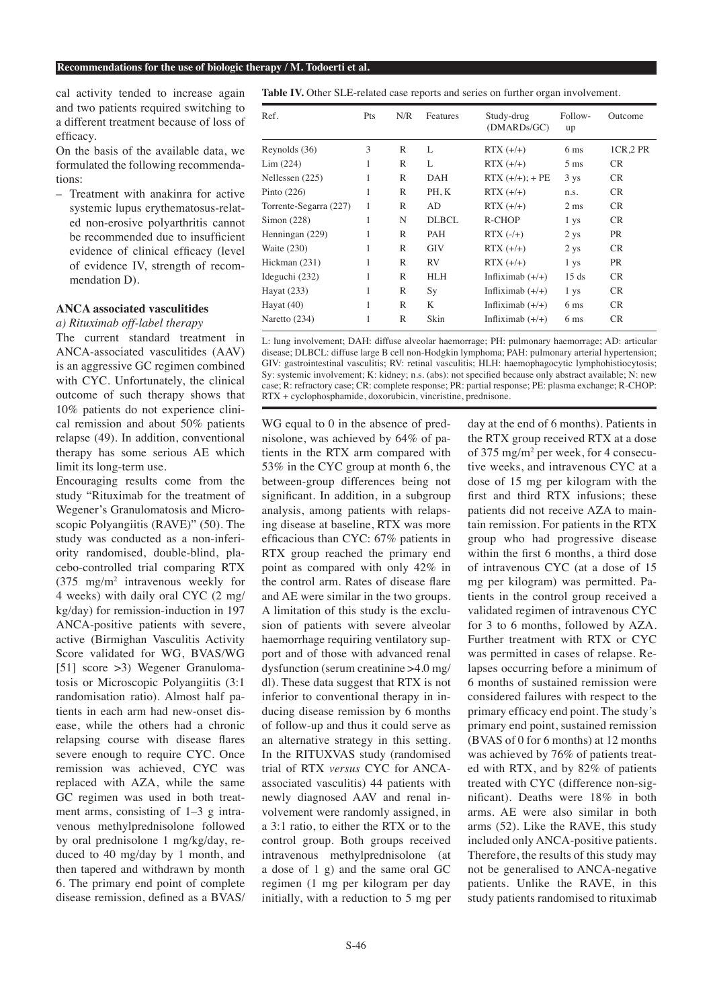cal activity tended to increase again and two patients required switching to a different treatment because of loss of efficacy.

On the basis of the available data, we formulated the following recommendations:

– Treatment with anakinra for active systemic lupus erythematosus-related non-erosive polyarthritis cannot be recommended due to insufficient evidence of clinical efficacy (level of evidence IV, strength of recommendation D).

## **ANCA associated vasculitides**

*a) Rituximab off-label therapy* The current standard treatment in ANCA-associated vasculitides (AAV) is an aggressive GC regimen combined with CYC. Unfortunately, the clinical outcome of such therapy shows that 10% patients do not experience clinical remission and about 50% patients relapse (49). In addition, conventional therapy has some serious AE which limit its long-term use.

Encouraging results come from the study "Rituximab for the treatment of Wegener's Granulomatosis and Microscopic Polyangiitis (RAVE)" (50). The study was conducted as a non-inferiority randomised, double-blind, placebo-controlled trial comparing RTX  $(375 \text{ mg/m}^2 \text{ intravenous weekly}$  for 4 weeks) with daily oral CYC (2 mg/ kg/day) for remission-induction in 197 ANCA-positive patients with severe, active (Birmighan Vasculitis Activity Score validated for WG, BVAS/WG [51] score >3) Wegener Granulomatosis or Microscopic Polyangiitis (3:1 randomisation ratio). Almost half patients in each arm had new-onset disease, while the others had a chronic relapsing course with disease flares severe enough to require CYC. Once remission was achieved, CYC was replaced with AZA, while the same GC regimen was used in both treatment arms, consisting of 1–3 g intravenous methylprednisolone followed by oral prednisolone 1 mg/kg/day, reduced to 40 mg/day by 1 month, and then tapered and withdrawn by month 6. The primary end point of complete disease remission, defined as a BVAS/

**Table IV.** Other SLE-related case reports and series on further organ involvement.

| Ref.                   | Pts | N/R          | Features     | Study-drug<br>(DMARDs/GC) | Follow-<br>up   | Outcome   |
|------------------------|-----|--------------|--------------|---------------------------|-----------------|-----------|
| Reynolds (36)          | 3   | R            | L            | $RTX (+/+)$               | 6 <sub>ms</sub> | 1CR, 2 PR |
| Lim (224)              | 1   | R            | L            | $RTX (+/+)$               | $5 \text{ ms}$  | CR.       |
| Nellessen (225)        | 1   | $\mathbb{R}$ | DAH          | $RTX (+/+); + PE$         | 3 <sub>ys</sub> | <b>CR</b> |
| Pinto $(226)$          | 1   | R            | PH, K        | $RTX (+/+)$               | n.s.            | CR.       |
| Torrente-Segarra (227) | 1   | $\mathbb{R}$ | AD           | $RTX (+/+)$               | 2 <sub>ms</sub> | <b>CR</b> |
| Simon (228)            | 1   | N            | <b>DLBCL</b> | R-CHOP                    | 1 ys            | <b>CR</b> |
| Henningan (229)        | 1   | R            | PAH          | $RTX (+/+)$               | $2$ ys          | <b>PR</b> |
| Waite (230)            | 1   | R            | <b>GIV</b>   | $RTX (+/+)$               | $2$ ys          | <b>CR</b> |
| Hickman (231)          | 1   | R            | <b>RV</b>    | $RTX (+/+)$               | 1 <sub>ys</sub> | <b>PR</b> |
| Ideguchi (232)         | 1   | R            | HLH          | Infliximab $(+/+)$        | 15 ds           | <b>CR</b> |
| Hayat (233)            | 1   | $\mathbb{R}$ | Sy           | Infliximab $(+/+)$        | 1 ys            | <b>CR</b> |
| Hayat $(40)$           | 1   | R            | K            | Infliximab $(+/+)$        | 6 <sub>ms</sub> | CR        |
| Naretto $(234)$        | 1   | $\mathbb{R}$ | Skin         | Infliximab $(+/+)$        | 6 <sub>ms</sub> | CR.       |

L: lung involvement; DAH: diffuse alveolar haemorrage; PH: pulmonary haemorrage; AD: articular disease; DLBCL: diffuse large B cell non-Hodgkin lymphoma; PAH: pulmonary arterial hypertension; GIV: gastrointestinal vasculitis; RV: retinal vasculitis; HLH: haemophagocytic lymphohistiocytosis; Sy: systemic involvement; K: kidney; n.s. (abs): not specified because only abstract available; N: new case; R: refractory case; CR: complete response; PR: partial response; PE: plasma exchange; R-CHOP: RTX + cyclophosphamide, doxorubicin, vincristine, prednisone.

WG equal to 0 in the absence of prednisolone, was achieved by 64% of patients in the RTX arm compared with 53% in the CYC group at month 6, the between-group differences being not significant. In addition, in a subgroup analysis, among patients with relapsing disease at baseline, RTX was more efficacious than CYC: 67% patients in RTX group reached the primary end point as compared with only 42% in the control arm. Rates of disease flare and AE were similar in the two groups. A limitation of this study is the exclusion of patients with severe alveolar haemorrhage requiring ventilatory support and of those with advanced renal dysfunction (serum creatinine >4.0 mg/ dl). These data suggest that RTX is not inferior to conventional therapy in inducing disease remission by 6 months of follow-up and thus it could serve as an alternative strategy in this setting. In the RITUXVAS study (randomised trial of RTX *versus* CYC for ANCAassociated vasculitis) 44 patients with newly diagnosed AAV and renal involvement were randomly assigned, in a 3:1 ratio, to either the RTX or to the control group. Both groups received intravenous methylprednisolone (at a dose of 1 g) and the same oral GC regimen (1 mg per kilogram per day initially, with a reduction to 5 mg per

day at the end of 6 months). Patients in the RTX group received RTX at a dose of 375 mg/m2 per week, for 4 consecutive weeks, and intravenous CYC at a dose of 15 mg per kilogram with the first and third RTX infusions; these patients did not receive AZA to maintain remission. For patients in the RTX group who had progressive disease within the first 6 months, a third dose of intravenous CYC (at a dose of 15 mg per kilogram) was permitted. Patients in the control group received a validated regimen of intravenous CYC for 3 to 6 months, followed by AZA. Further treatment with RTX or CYC was permitted in cases of relapse. Relapses occurring before a minimum of 6 months of sustained remission were considered failures with respect to the primary efficacy end point. The study's primary end point, sustained remission (BVAS of 0 for 6 months) at 12 months was achieved by 76% of patients treated with RTX, and by 82% of patients treated with CYC (difference non-significant). Deaths were 18% in both arms. AE were also similar in both arms (52). Like the RAVE, this study included only ANCA-positive patients. Therefore, the results of this study may not be generalised to ANCA-negative patients. Unlike the RAVE, in this study patients randomised to rituximab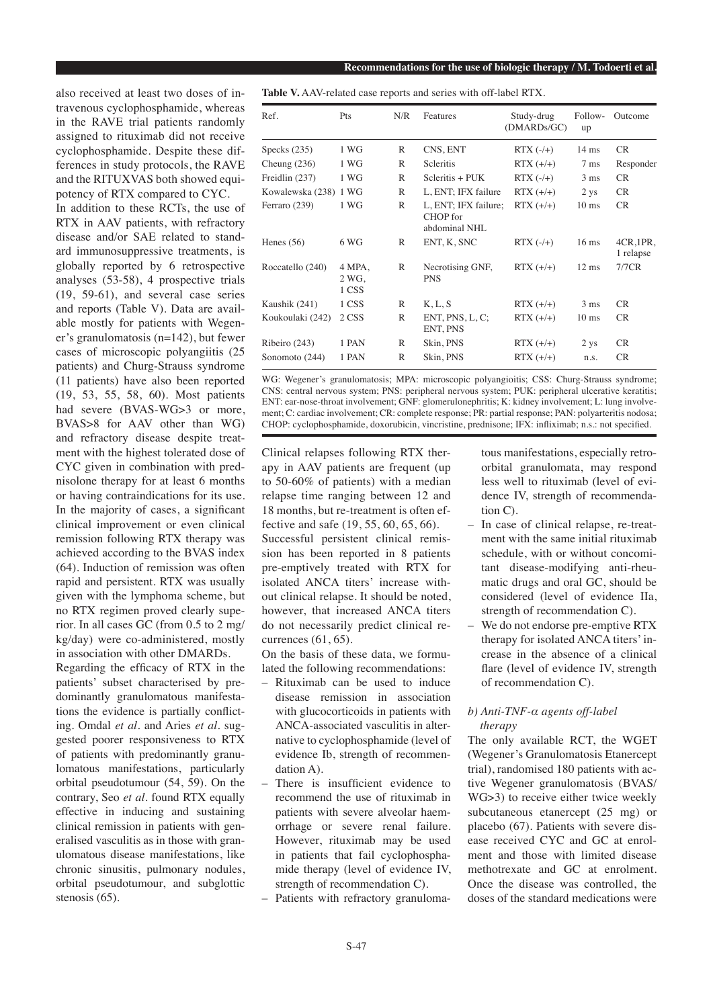also received at least two doses of intravenous cyclophosphamide, whereas in the RAVE trial patients randomly assigned to rituximab did not receive cyclophosphamide. Despite these differences in study protocols, the RAVE and the RITUXVAS both showed equipotency of RTX compared to CYC. In addition to these RCTs, the use of RTX in AAV patients, with refractory disease and/or SAE related to standard immunosuppressive treatments, is globally reported by 6 retrospective analyses (53-58), 4 prospective trials (19, 59-61), and several case series and reports (Table V). Data are available mostly for patients with Wegener's granulomatosis (n=142), but fewer cases of microscopic polyangiitis (25 patients) and Churg-Strauss syndrome

(11 patients) have also been reported (19, 53, 55, 58, 60). Most patients had severe (BVAS-WG>3 or more, BVAS>8 for AAV other than WG) and refractory disease despite treatment with the highest tolerated dose of CYC given in combination with prednisolone therapy for at least 6 months or having contraindications for its use. In the majority of cases, a significant clinical improvement or even clinical remission following RTX therapy was achieved according to the BVAS index (64). Induction of remission was often rapid and persistent. RTX was usually given with the lymphoma scheme, but no RTX regimen proved clearly superior. In all cases GC (from 0.5 to 2 mg/ kg/day) were co-administered, mostly in association with other DMARDs.

Regarding the efficacy of RTX in the patients' subset characterised by predominantly granulomatous manifestations the evidence is partially conflicting. Omdal *et al.* and Aries *et al.* suggested poorer responsiveness to RTX of patients with predominantly granulomatous manifestations, particularly orbital pseudotumour (54, 59). On the contrary, Seo *et al.* found RTX equally effective in inducing and sustaining clinical remission in patients with generalised vasculitis as in those with granulomatous disease manifestations, like chronic sinusitis, pulmonary nodules, orbital pseudotumour, and subglottic stenosis (65).

**Table V.** AAV-related case reports and series with off-label RTX.

| Ref.                  | Pts                      | N/R          | Features                                          | Study-drug<br>(DMARDs/GC) | Follow-<br>up   | Outcome                   |
|-----------------------|--------------------------|--------------|---------------------------------------------------|---------------------------|-----------------|---------------------------|
| Specks $(235)$        | 1 WG                     | R            | CNS, ENT                                          | $RTX (-/+)$               | $14 \text{ ms}$ | CR.                       |
| Cheung $(236)$        | 1 WG                     | R            | <b>Scleritis</b>                                  | $RTX (+/+)$               | $7 \text{ ms}$  | Responder                 |
| Freidlin (237)        | 1 WG                     | R            | $Seleritis + PUK$                                 | $RTX$ $(-/+)$             | $3 \text{ ms}$  | <b>CR</b>                 |
| Kowalewska (238) 1 WG |                          | R            | L, ENT; IFX failure                               | $RTX (+/+)$               | $2$ ys          | <b>CR</b>                 |
| Ferraro (239)         | 1 WG                     | $\mathbb{R}$ | L, ENT; IFX failure;<br>CHOP for<br>abdominal NHL | $RTX (+/+)$               | $10 \text{ ms}$ | <b>CR</b>                 |
| Henes $(56)$          | 6 WG                     | R            | ENT, K, SNC                                       | $RTX$ $(-/+)$             | $16$ ms         | $4CR, 1PR$ ,<br>1 relapse |
| Roccatello (240)      | 4 MPA,<br>2 WG,<br>1 CSS | R            | Necrotising GNF,<br><b>PNS</b>                    | $RTX (+/+)$               | $12 \text{ ms}$ | 7/7CR                     |
| Kaushik (241)         | 1 CSS                    | R            | K, L, S                                           | $RTX (+/+)$               | 3 <sub>ms</sub> | CR.                       |
| Koukoulaki (242)      | 2 CSS                    | R            | ENT, PNS, L, C;<br>ENT, PNS                       | $RTX (+/+)$               | $10 \text{ ms}$ | <b>CR</b>                 |
| Ribeiro (243)         | 1 PAN                    | R            | Skin, PNS                                         | $RTX (+/+)$               | $2$ ys          | <b>CR</b>                 |
| Sonomoto (244)        | 1 PAN                    | R            | Skin, PNS                                         | $RTX (+/+)$               | n.s.            | CR.                       |

WG: Wegener's granulomatosis; MPA: microscopic polyangioitis; CSS: Churg-Strauss syndrome; CNS: central nervous system; PNS: peripheral nervous system; PUK: peripheral ulcerative keratitis; ENT: ear-nose-throat involvement; GNF: glomerulonephritis; K: kidney involvement; L: lung involvement; C: cardiac involvement; CR: complete response; PR: partial response; PAN: polyarteritis nodosa; CHOP: cyclophosphamide, doxorubicin, vincristine, prednisone; IFX: infliximab; n.s.: not specified.

Clinical relapses following RTX therapy in AAV patients are frequent (up to 50-60% of patients) with a median relapse time ranging between 12 and 18 months, but re-treatment is often effective and safe (19, 55, 60, 65, 66). Successful persistent clinical remission has been reported in 8 patients pre-emptively treated with RTX for isolated ANCA titers' increase without clinical relapse. It should be noted, however, that increased ANCA titers do not necessarily predict clinical recurrences (61, 65).

On the basis of these data, we formulated the following recommendations:

- Rituximab can be used to induce disease remission in association with glucocorticoids in patients with ANCA-associated vasculitis in alternative to cyclophosphamide (level of evidence Ib, strength of recommendation A).
- There is insufficient evidence to recommend the use of rituximab in patients with severe alveolar haemorrhage or severe renal failure. However, rituximab may be used in patients that fail cyclophosphamide therapy (level of evidence IV, strength of recommendation C).
- Patients with refractory granuloma-

tous manifestations, especially retroorbital granulomata, may respond less well to rituximab (level of evidence IV, strength of recommendation C).

- In case of clinical relapse, re-treatment with the same initial rituximab schedule, with or without concomitant disease-modifying anti-rheumatic drugs and oral GC, should be considered (level of evidence IIa, strength of recommendation C).
- We do not endorse pre-emptive RTX therapy for isolated ANCA titers' increase in the absence of a clinical flare (level of evidence IV, strength of recommendation C).

# *b) Anti-TNF-α agents off-label therapy*

The only available RCT, the WGET (Wegener's Granulomatosis Etanercept trial), randomised 180 patients with active Wegener granulomatosis (BVAS/ WG>3) to receive either twice weekly subcutaneous etanercept (25 mg) or placebo (67). Patients with severe disease received CYC and GC at enrolment and those with limited disease methotrexate and GC at enrolment. Once the disease was controlled, the doses of the standard medications were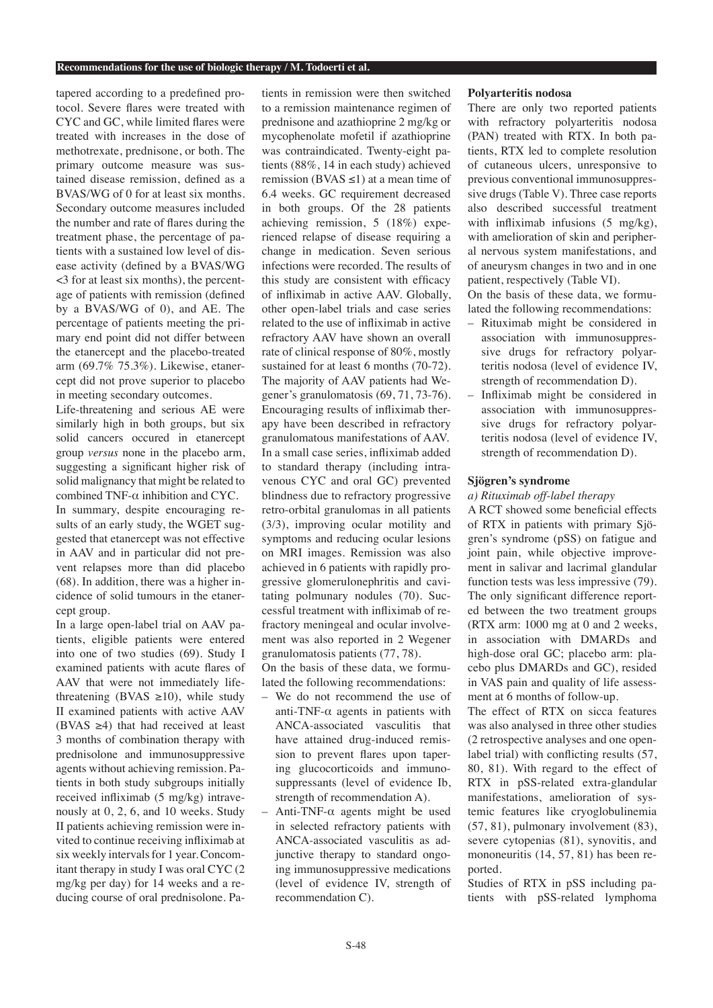tapered according to a predefined protocol. Severe flares were treated with CYC and GC, while limited flares were treated with increases in the dose of methotrexate, prednisone, or both. The primary outcome measure was sustained disease remission, defined as a BVAS/WG of 0 for at least six months. Secondary outcome measures included the number and rate of flares during the treatment phase, the percentage of patients with a sustained low level of disease activity (defined by a BVAS/WG <3 for at least six months), the percentage of patients with remission (defined by a BVAS/WG of 0), and AE. The percentage of patients meeting the primary end point did not differ between the etanercept and the placebo-treated arm (69.7% 75.3%). Likewise, etanercept did not prove superior to placebo in meeting secondary outcomes.

Life-threatening and serious AE were similarly high in both groups, but six solid cancers occured in etanercept group *versus* none in the placebo arm, suggesting a significant higher risk of solid malignancy that might be related to combined TNF-α inhibition and CYC. In summary, despite encouraging results of an early study, the WGET suggested that etanercept was not effective in AAV and in particular did not prevent relapses more than did placebo (68). In addition, there was a higher incidence of solid tumours in the etanercept group.

In a large open-label trial on AAV patients, eligible patients were entered into one of two studies (69). Study I examined patients with acute flares of AAV that were not immediately lifethreatening (BVAS  $\geq$ 10), while study II examined patients with active AAV (BVAS  $\geq$ 4) that had received at least 3 months of combination therapy with prednisolone and immunosuppressive agents without achieving remission. Patients in both study subgroups initially received infliximab (5 mg/kg) intravenously at 0, 2, 6, and 10 weeks. Study II patients achieving remission were invited to continue receiving infliximab at six weekly intervals for 1 year. Concomitant therapy in study I was oral CYC (2 mg/kg per day) for 14 weeks and a reducing course of oral prednisolone. Patients in remission were then switched to a remission maintenance regimen of prednisone and azathioprine 2 mg/kg or mycophenolate mofetil if azathioprine was contraindicated. Twenty-eight patients (88%, 14 in each study) achieved remission (BVAS  $\leq$ 1) at a mean time of 6.4 weeks. GC requirement decreased in both groups. Of the 28 patients achieving remission, 5 (18%) experienced relapse of disease requiring a change in medication. Seven serious infections were recorded. The results of this study are consistent with efficacy of infliximab in active AAV. Globally, other open-label trials and case series related to the use of infliximab in active refractory AAV have shown an overall rate of clinical response of 80%, mostly sustained for at least 6 months (70-72). The majority of AAV patients had Wegener's granulomatosis (69, 71, 73-76). Encouraging results of infliximab therapy have been described in refractory granulomatous manifestations of AAV. In a small case series, infliximab added to standard therapy (including intravenous CYC and oral GC) prevented blindness due to refractory progressive retro-orbital granulomas in all patients (3/3), improving ocular motility and symptoms and reducing ocular lesions on MRI images. Remission was also achieved in 6 patients with rapidly progressive glomerulonephritis and cavitating polmunary nodules (70). Successful treatment with infliximab of refractory meningeal and ocular involvement was also reported in 2 Wegener granulomatosis patients (77, 78).

On the basis of these data, we formulated the following recommendations:

- We do not recommend the use of anti-TNF- $\alpha$  agents in patients with ANCA-associated vasculitis that have attained drug-induced remission to prevent flares upon tapering glucocorticoids and immunosuppressants (level of evidence Ib, strength of recommendation A).
- Anti-TNF-α agents might be used in selected refractory patients with ANCA-associated vasculitis as adjunctive therapy to standard ongoing immunosuppressive medications (level of evidence IV, strength of recommendation C).

#### **Polyarteritis nodosa**

There are only two reported patients with refractory polyarteritis nodosa (PAN) treated with RTX. In both patients, RTX led to complete resolution of cutaneous ulcers, unresponsive to previous conventional immunosuppressive drugs (Table V). Three case reports also described successful treatment with infliximab infusions (5 mg/kg), with amelioration of skin and peripheral nervous system manifestations, and of aneurysm changes in two and in one patient, respectively (Table VI). On the basis of these data, we formu-

lated the following recommendations:

- Rituximab might be considered in association with immunosuppressive drugs for refractory polyarteritis nodosa (level of evidence IV, strength of recommendation D).
- Infliximab might be considered in association with immunosuppressive drugs for refractory polyarteritis nodosa (level of evidence IV, strength of recommendation D).

## **Sjögren's syndrome**

#### *a) Rituximab off-label therapy*

A RCT showed some beneficial effects of RTX in patients with primary Sjögren's syndrome (pSS) on fatigue and joint pain, while objective improvement in salivar and lacrimal glandular function tests was less impressive (79). The only significant difference reported between the two treatment groups (RTX arm: 1000 mg at 0 and 2 weeks, in association with DMARDs and high-dose oral GC; placebo arm: placebo plus DMARDs and GC), resided in VAS pain and quality of life assessment at 6 months of follow-up.

The effect of RTX on sicca features was also analysed in three other studies (2 retrospective analyses and one openlabel trial) with conflicting results (57, 80, 81). With regard to the effect of RTX in pSS-related extra-glandular manifestations, amelioration of systemic features like cryoglobulinemia (57, 81), pulmonary involvement (83), severe cytopenias (81), synovitis, and mononeuritis (14, 57, 81) has been reported.

Studies of RTX in pSS including patients with pSS-related lymphoma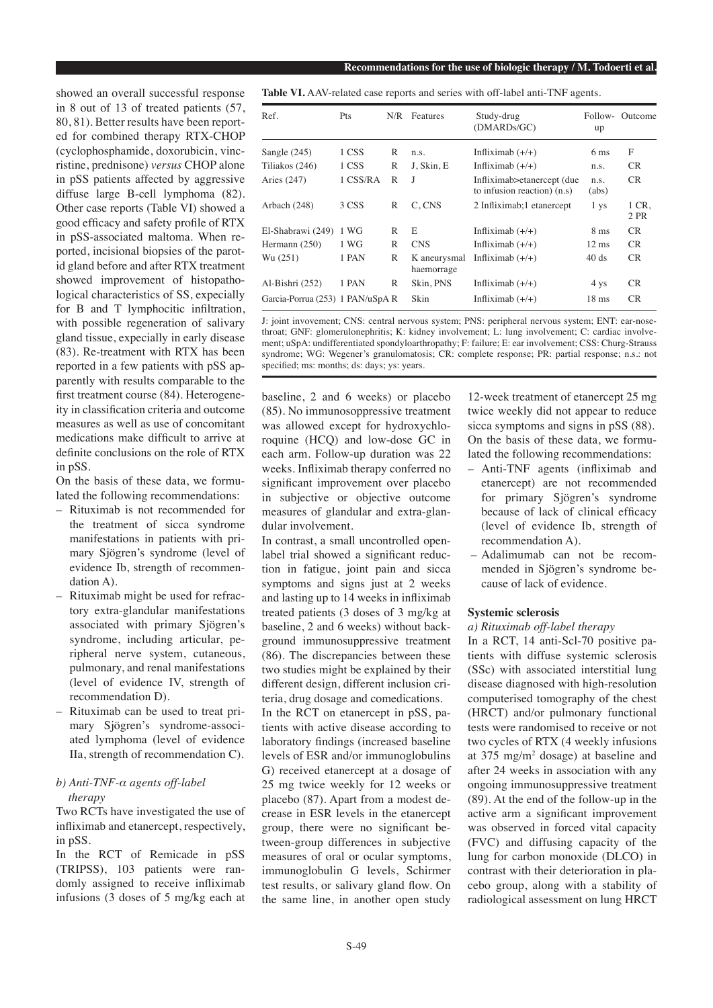showed an overall successful response in 8 out of 13 of treated patients (57, 80, 81). Better results have been reported for combined therapy RTX-CHOP (cyclophosphamide, doxorubicin, vincristine, prednisone) *versus* CHOP alone in pSS patients affected by aggressive diffuse large B-cell lymphoma (82). Other case reports (Table VI) showed a good efficacy and safety profile of RTX in pSS-associated maltoma. When reported, incisional biopsies of the parotid gland before and after RTX treatment showed improvement of histopathological characteristics of SS, expecially for B and T lymphocitic infiltration, with possible regeneration of salivary gland tissue, expecially in early disease (83). Re-treatment with RTX has been reported in a few patients with pSS apparently with results comparable to the first treatment course (84). Heterogeneity in classification criteria and outcome measures as well as use of concomitant medications make difficult to arrive at definite conclusions on the role of RTX in pSS.

On the basis of these data, we formulated the following recommendations:

- Rituximab is not recommended for the treatment of sicca syndrome manifestations in patients with primary Sjögren's syndrome (level of evidence Ib, strength of recommendation A).
- Rituximab might be used for refractory extra-glandular manifestations associated with primary Sjögren's syndrome, including articular, peripheral nerve system, cutaneous, pulmonary, and renal manifestations (level of evidence IV, strength of recommendation D).
- Rituximab can be used to treat primary Sjögren's syndrome-associated lymphoma (level of evidence IIa, strength of recommendation C).

# *b) Anti-TNF-α agents off-label therapy*

Two RCTs have investigated the use of infliximab and etanercept, respectively, in pSS.

In the RCT of Remicade in pSS (TRIPSS), 103 patients were randomly assigned to receive infliximab infusions (3 doses of 5 mg/kg each at **Table VI.** AAV-related case reports and series with off-label anti-TNF agents.

| Ref.                             | Pts      | N/R | Features                   | Study-drug<br>(DMARDs/GC)                                   | Follow-<br>up   | Outcome       |
|----------------------------------|----------|-----|----------------------------|-------------------------------------------------------------|-----------------|---------------|
| Sangle $(245)$                   | 1 CSS    | R   | n.s.                       | Infliximab $(+/+)$                                          | 6 <sub>ms</sub> | F             |
| Tiliakos (246)                   | 1 CSS    | R   | J, Skin, E                 | Infliximab $(+/+)$                                          | n.s.            | <b>CR</b>     |
| Aries $(247)$                    | 1 CSS/RA | R   | I                          | Infliximab>etanercept (due<br>to infusion reaction) $(n.s)$ | n.s.<br>(abs)   | <b>CR</b>     |
| Arbach (248)                     | 3 CSS    | R   | C, CNS                     | 2 Infliximab; 1 etanercept                                  | 1 <sub>ys</sub> | 1 CR.<br>2 PR |
| El-Shabrawi (249)                | 1 WG     | R   | E                          | Infliximab $(+/+)$                                          | 8 <sub>ms</sub> | CR.           |
| Hermann $(250)$                  | 1 WG     | R   | <b>CNS</b>                 | Infliximab $(+/+)$                                          | $12 \text{ ms}$ | CR.           |
| Wu (251)                         | 1 PAN    | R   | K aneurysmal<br>haemorrage | Infliximab $(+/+)$                                          | 40 ds           | CR.           |
| Al-Bishri (252)                  | 1 PAN    | R   | Skin, PNS                  | Infliximab $(+/+)$                                          | 4 ys            | <b>CR</b>     |
| Garcia-Porrua (253) 1 PAN/uSpA R |          |     | Skin                       | Infliximab $(+/+)$                                          | $18$ ms         | CR.           |

J: joint invovement; CNS: central nervous system; PNS: peripheral nervous system; ENT: ear-nosethroat; GNF: glomerulonephritis; K: kidney involvement; L: lung involvement; C: cardiac involvement; uSpA: undifferentiated spondyloarthropathy; F: failure; E: ear involvement; CSS: Churg-Strauss syndrome; WG: Wegener's granulomatosis; CR: complete response; PR: partial response; n.s.: not specified; ms: months; ds: days; ys: years.

baseline, 2 and 6 weeks) or placebo (85). No immunosoppressive treatment was allowed except for hydroxychloroquine (HCQ) and low-dose GC in each arm. Follow-up duration was 22 weeks. Infliximab therapy conferred no significant improvement over placebo in subjective or objective outcome measures of glandular and extra-glandular involvement.

In contrast, a small uncontrolled openlabel trial showed a significant reduction in fatigue, joint pain and sicca symptoms and signs just at 2 weeks and lasting up to 14 weeks in infliximab treated patients (3 doses of 3 mg/kg at baseline, 2 and 6 weeks) without background immunosuppressive treatment (86). The discrepancies between these two studies might be explained by their different design, different inclusion criteria, drug dosage and comedications.

In the RCT on etanercept in pSS, patients with active disease according to laboratory findings (increased baseline levels of ESR and/or immunoglobulins G) received etanercept at a dosage of 25 mg twice weekly for 12 weeks or placebo (87). Apart from a modest decrease in ESR levels in the etanercept group, there were no significant between-group differences in subjective measures of oral or ocular symptoms, immunoglobulin G levels, Schirmer test results, or salivary gland flow. On the same line, in another open study 12-week treatment of etanercept 25 mg twice weekly did not appear to reduce sicca symptoms and signs in pSS (88). On the basis of these data, we formulated the following recommendations:

- Anti-TNF agents (infliximab and etanercept) are not recommended for primary Sjögren's syndrome because of lack of clinical efficacy (level of evidence Ib, strength of recommendation A).
- Adalimumab can not be recommended in Sjögren's syndrome because of lack of evidence.

## **Systemic sclerosis**

## *a) Rituximab off-label therapy*

In a RCT, 14 anti-Scl-70 positive patients with diffuse systemic sclerosis (SSc) with associated interstitial lung disease diagnosed with high-resolution computerised tomography of the chest (HRCT) and/or pulmonary functional tests were randomised to receive or not two cycles of RTX (4 weekly infusions at  $375 \text{ mg/m}^2$  dosage) at baseline and after 24 weeks in association with any ongoing immunosuppressive treatment (89). At the end of the follow-up in the active arm a significant improvement was observed in forced vital capacity (FVC) and diffusing capacity of the lung for carbon monoxide (DLCO) in contrast with their deterioration in placebo group, along with a stability of radiological assessment on lung HRCT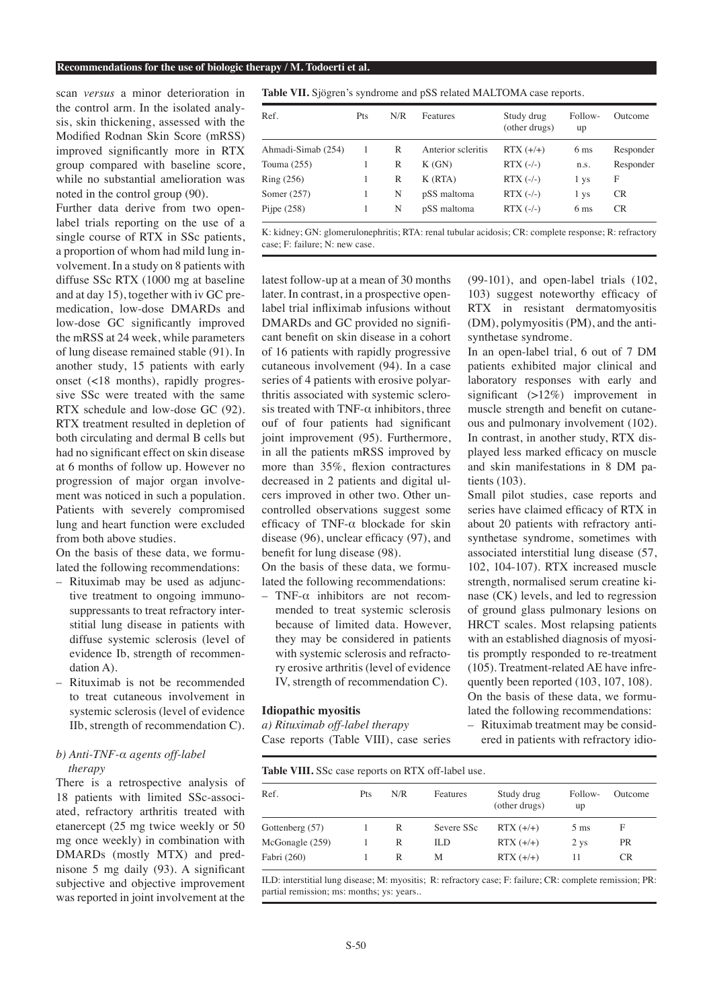scan *versus* a minor deterioration in the control arm. In the isolated analysis, skin thickening, assessed with the Modified Rodnan Skin Score (mRSS) improved significantly more in RTX group compared with baseline score, while no substantial amelioration was noted in the control group (90).

Further data derive from two openlabel trials reporting on the use of a single course of RTX in SSc patients, a proportion of whom had mild lung involvement. In a study on 8 patients with diffuse SSc RTX (1000 mg at baseline and at day 15), together with iv GC premedication, low-dose DMARDs and low-dose GC significantly improved the mRSS at 24 week, while parameters of lung disease remained stable (91). In another study, 15 patients with early onset (<18 months), rapidly progressive SSc were treated with the same RTX schedule and low-dose GC (92). RTX treatment resulted in depletion of both circulating and dermal B cells but had no significant effect on skin disease at 6 months of follow up. However no progression of major organ involvement was noticed in such a population. Patients with severely compromised lung and heart function were excluded from both above studies.

On the basis of these data, we formulated the following recommendations:

- Rituximab may be used as adjunctive treatment to ongoing immunosuppressants to treat refractory interstitial lung disease in patients with diffuse systemic sclerosis (level of evidence Ib, strength of recommendation A).
- Rituximab is not be recommended to treat cutaneous involvement in systemic sclerosis (level of evidence IIb, strength of recommendation C).

# *b) Anti-TNF-α agents off-label therapy*

There is a retrospective analysis of 18 patients with limited SSc-associated, refractory arthritis treated with etanercept (25 mg twice weekly or 50 mg once weekly) in combination with DMARDs (mostly MTX) and prednisone 5 mg daily (93). A significant subjective and objective improvement was reported in joint involvement at the

**Table VII.** Sjögren's syndrome and pSS related MALTOMA case reports.

| Ref.               | Pts | N/R | Features           | Study drug<br>(other drugs) | Follow-<br>up   | Outcome   |
|--------------------|-----|-----|--------------------|-----------------------------|-----------------|-----------|
| Ahmadi-Simab (254) | 1   | R   | Anterior scleritis | $RTX (+/+)$                 | 6 <sub>ms</sub> | Responder |
| Touma $(255)$      |     | R   | K(GN)              | $RTX$ (-/-)                 | n.s.            | Responder |
| Ring (256)         |     | R   | K(RTA)             | $RTX$ (-/-)                 | 1 ys            | F         |
| Somer $(257)$      |     | N   | pSS maltoma        | $RTX$ $(-/-)$               | 1 ys            | <b>CR</b> |
| Pijpe $(258)$      |     | N   | pSS maltoma        | $RTX$ $(-/-)$               | 6 <sub>ms</sub> | <b>CR</b> |

K: kidney; GN: glomerulonephritis; RTA: renal tubular acidosis; CR: complete response; R: refractory case; F: failure; N: new case.

latest follow-up at a mean of 30 months later. In contrast, in a prospective openlabel trial infliximab infusions without DMARDs and GC provided no significant benefit on skin disease in a cohort of 16 patients with rapidly progressive cutaneous involvement (94). In a case series of 4 patients with erosive polyarthritis associated with systemic sclerosis treated with TNF- $\alpha$  inhibitors, three ouf of four patients had significant joint improvement (95). Furthermore, in all the patients mRSS improved by more than 35%, flexion contractures decreased in 2 patients and digital ulcers improved in other two. Other uncontrolled observations suggest some efficacy of TNF-α blockade for skin disease (96), unclear efficacy (97), and benefit for lung disease (98).

On the basis of these data, we formulated the following recommendations:

– TNF-α inhibitors are not recommended to treat systemic sclerosis because of limited data. However, they may be considered in patients with systemic sclerosis and refractory erosive arthritis (level of evidence IV, strength of recommendation C).

#### **Idiopathic myositis**

*a) Rituximab off-label therapy* Case reports (Table VIII), case series

(99-101), and open-label trials (102, 103) suggest noteworthy efficacy of RTX in resistant dermatomyositis (DM), polymyositis (PM), and the antisynthetase syndrome.

In an open-label trial, 6 out of 7 DM patients exhibited major clinical and laboratory responses with early and significant (>12%) improvement in muscle strength and benefit on cutaneous and pulmonary involvement (102). In contrast, in another study, RTX displayed less marked efficacy on muscle and skin manifestations in 8 DM patients (103).

Small pilot studies, case reports and series have claimed efficacy of RTX in about 20 patients with refractory antisynthetase syndrome, sometimes with associated interstitial lung disease (57, 102, 104-107). RTX increased muscle strength, normalised serum creatine kinase (CK) levels, and led to regression of ground glass pulmonary lesions on HRCT scales. Most relapsing patients with an established diagnosis of myositis promptly responded to re-treatment (105). Treatment-related AE have infrequently been reported (103, 107, 108). On the basis of these data, we formulated the following recommendations:

– Rituximab treatment may be considered in patients with refractory idio-

| <b>Table VIII.</b> SSc case reports on RTX off-label use. |     |     |            |                             |                |           |  |  |
|-----------------------------------------------------------|-----|-----|------------|-----------------------------|----------------|-----------|--|--|
| Ref.                                                      | Pts | N/R | Features   | Study drug<br>(other drugs) | Follow-<br>up  | Outcome   |  |  |
| Gottenberg (57)                                           |     | R   | Severe SSc | $RTX (+/+)$                 | $5 \text{ ms}$ | F         |  |  |
| McGonagle (259)                                           |     | R   | ILD.       | $RTX (+/+)$                 | $2$ ys         | <b>PR</b> |  |  |
| Fabri (260)                                               |     | R   | М          | $RTX (+/+)$                 | 11             | CR.       |  |  |

ILD: interstitial lung disease; M: myositis; R: refractory case; F: failure; CR: complete remission; PR: partial remission; ms: months; ys: years..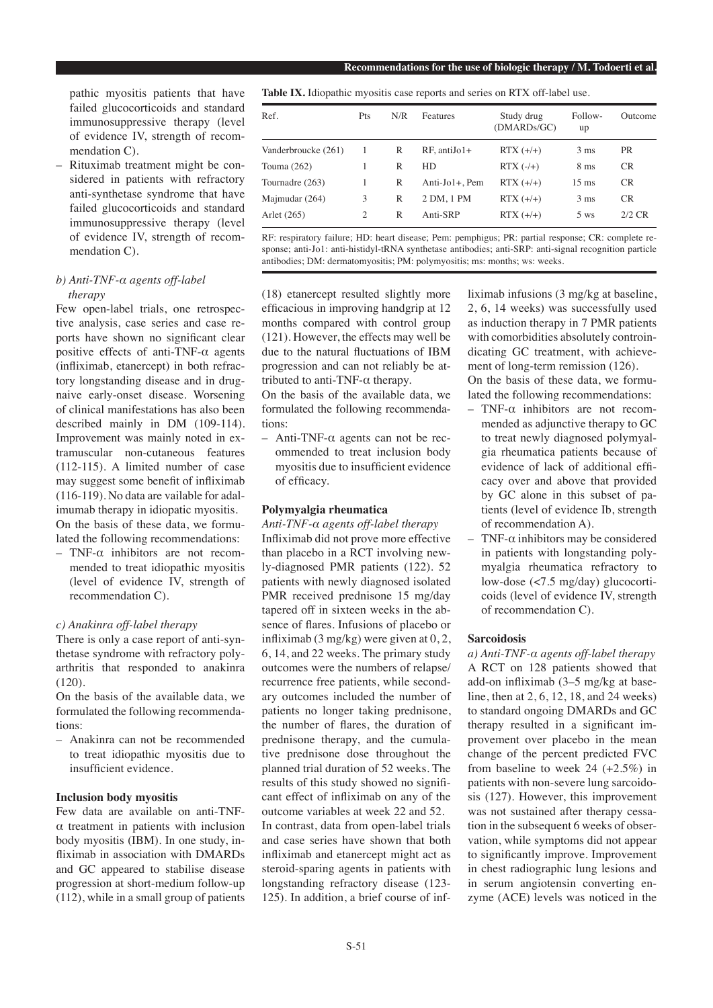pathic myositis patients that have failed glucocorticoids and standard immunosuppressive therapy (level of evidence IV, strength of recommendation C).

– Rituximab treatment might be considered in patients with refractory anti-synthetase syndrome that have failed glucocorticoids and standard immunosuppressive therapy (level of evidence IV, strength of recommendation C).

# *b) Anti-TNF-α agents off-label therapy*

Few open-label trials, one retrospective analysis, case series and case reports have shown no significant clear positive effects of anti-TNF- $\alpha$  agents (infliximab, etanercept) in both refractory longstanding disease and in drugnaive early-onset disease. Worsening of clinical manifestations has also been described mainly in DM (109-114). Improvement was mainly noted in extramuscular non-cutaneous features (112-115). A limited number of case may suggest some benefit of infliximab (116-119). No data are vailable for adalimumab therapy in idiopatic myositis. On the basis of these data, we formulated the following recommendations:

– TNF-α inhibitors are not recommended to treat idiopathic myositis (level of evidence IV, strength of recommendation C).

## *c) Anakinra off-label therapy*

There is only a case report of anti-synthetase syndrome with refractory polyarthritis that responded to anakinra (120).

On the basis of the available data, we formulated the following recommendations:

– Anakinra can not be recommended to treat idiopathic myositis due to insufficient evidence.

# **Inclusion body myositis**

Few data are available on anti-TNFα treatment in patients with inclusion body myositis (IBM). In one study, infliximab in association with DMARDs and GC appeared to stabilise disease progression at short-medium follow-up (112), while in a small group of patients **Table IX.** Idiopathic myositis case reports and series on RTX off-label use.

| Ref.                | Pts | N/R | Features       | Study drug<br>(DMARDs/GC) | Follow-<br>up   | Outcome   |
|---------------------|-----|-----|----------------|---------------------------|-----------------|-----------|
| Vanderbroucke (261) | 1   | R   | $RF.$ antiJo1+ | $RTX (+/+)$               | $3 \text{ ms}$  | <b>PR</b> |
| Touma (262)         |     | R   | HD.            | $RTX$ $(-/+)$             | 8 <sub>ms</sub> | CR.       |
| Tournadre (263)     |     | R   | Anti-Jo1+, Pem | $RTX (+/+)$               | $15 \text{ ms}$ | <b>CR</b> |
| Majmudar (264)      | 3   | R   | 2 DM, 1 PM     | $RTX (+/+)$               | $3 \text{ ms}$  | CR.       |
| Arlet (265)         | 2   | R   | Anti-SRP       | $RTX (+/+)$               | $5$ ws          | $2/2$ CR  |

RF: respiratory failure; HD: heart disease; Pem: pemphigus; PR: partial response; CR: complete response; anti-Jo1: anti-histidyl-tRNA synthetase antibodies; anti-SRP: anti-signal recognition particle antibodies; DM: dermatomyositis; PM: polymyositis; ms: months; ws: weeks.

(18) etanercept resulted slightly more efficacious in improving handgrip at 12 months compared with control group (121). However, the effects may well be due to the natural fluctuations of IBM progression and can not reliably be attributed to anti-TNF- $\alpha$  therapy.

On the basis of the available data, we formulated the following recommendations:

– Anti-TNF-α agents can not be recommended to treat inclusion body myositis due to insufficient evidence of efficacy.

## **Polymyalgia rheumatica**

*Anti-TNF-α agents off-label therapy* Infliximab did not prove more effective than placebo in a RCT involving newly-diagnosed PMR patients (122). 52 patients with newly diagnosed isolated PMR received prednisone 15 mg/day tapered off in sixteen weeks in the absence of flares. Infusions of placebo or infliximab (3 mg/kg) were given at 0, 2, 6, 14, and 22 weeks. The primary study outcomes were the numbers of relapse/ recurrence free patients, while secondary outcomes included the number of patients no longer taking prednisone, the number of flares, the duration of prednisone therapy, and the cumulative prednisone dose throughout the planned trial duration of 52 weeks. The results of this study showed no significant effect of infliximab on any of the outcome variables at week 22 and 52. In contrast, data from open-label trials and case series have shown that both infliximab and etanercept might act as steroid-sparing agents in patients with longstanding refractory disease (123- 125). In addition, a brief course of infliximab infusions (3 mg/kg at baseline, 2, 6, 14 weeks) was successfully used as induction therapy in 7 PMR patients with comorbidities absolutely controindicating GC treatment, with achievement of long-term remission (126).

On the basis of these data, we formulated the following recommendations:

- TNF-α inhibitors are not recommended as adjunctive therapy to GC to treat newly diagnosed polymyalgia rheumatica patients because of evidence of lack of additional efficacy over and above that provided by GC alone in this subset of patients (level of evidence Ib, strength of recommendation A).
- TNF- $\alpha$  inhibitors may be considered in patients with longstanding polymyalgia rheumatica refractory to low-dose (<7.5 mg/day) glucocorticoids (level of evidence IV, strength of recommendation C).

## **Sarcoidosis**

*a) Anti-TNF-α agents off-label therapy* A RCT on 128 patients showed that add-on infliximab (3–5 mg/kg at baseline, then at 2, 6, 12, 18, and 24 weeks) to standard ongoing DMARDs and GC therapy resulted in a significant improvement over placebo in the mean change of the percent predicted FVC from baseline to week 24 (+2.5%) in patients with non-severe lung sarcoidosis (127). However, this improvement was not sustained after therapy cessation in the subsequent 6 weeks of observation, while symptoms did not appear to significantly improve. Improvement in chest radiographic lung lesions and in serum angiotensin converting enzyme (ACE) levels was noticed in the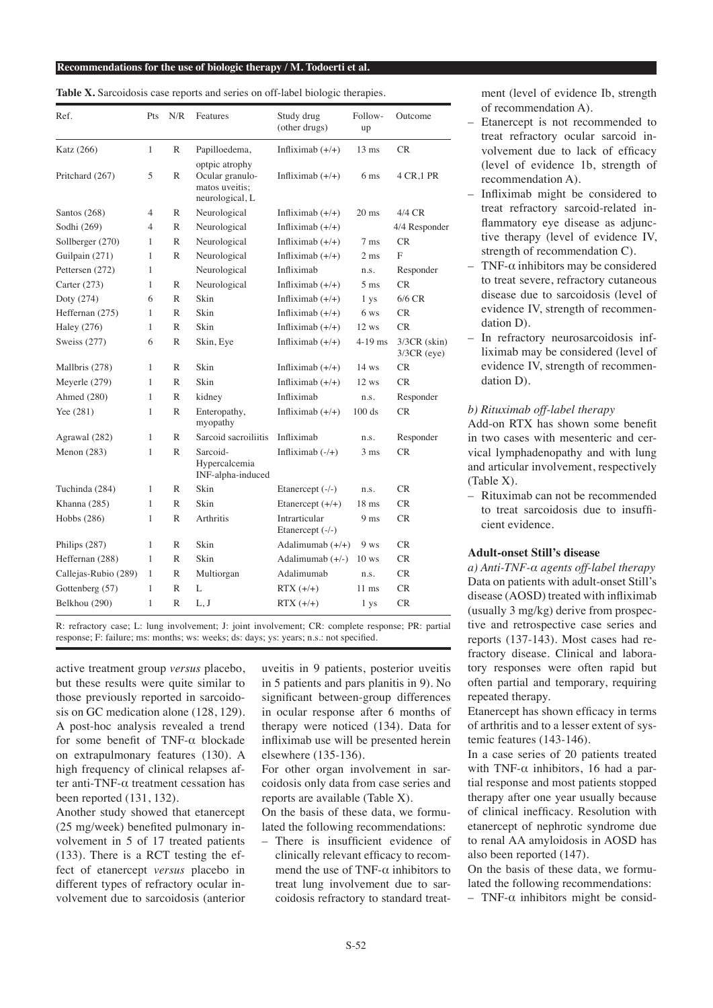| Ref.                 | Pts          | N/R | Features                                                               | Study drug<br>(other drugs)       | Follow-<br>up   | Outcome                         |
|----------------------|--------------|-----|------------------------------------------------------------------------|-----------------------------------|-----------------|---------------------------------|
| Katz (266)           | $\mathbf{1}$ | R   | Papilloedema,                                                          | Infliximab $(+/+)$                | $13 \text{ ms}$ | CR.                             |
| Pritchard (267)      | 5            | R   | optpic atrophy<br>Ocular granulo-<br>matos uveitis;<br>neurological, L | Infliximab $(+/+)$                | 6 <sub>ms</sub> | 4 CR, 1 PR                      |
| Santos (268)         | 4            | R   | Neurological                                                           | Infliximab $(+/+)$                | $20 \text{ ms}$ | 4/4 CR                          |
| Sodhi (269)          | 4            | R   | Neurological                                                           | Infliximab $(+/+)$                |                 | 4/4 Responder                   |
| Sollberger (270)     | 1            | R   | Neurological                                                           | Infliximab $(+/+)$                | $7 \text{ ms}$  | <b>CR</b>                       |
| Guilpain (271)       | 1            | R   | Neurological                                                           | Infliximab $(+/+)$                | 2 <sub>ms</sub> | F                               |
| Pettersen (272)      | 1            |     | Neurological                                                           | Infliximab                        | n.s.            | Responder                       |
| Carter (273)         | 1            | R   | Neurological                                                           | Infliximab $(+/+)$                | $5 \text{ ms}$  | <b>CR</b>                       |
| Doty (274)           | 6            | R   | Skin                                                                   | Infliximab $(+/+)$                | 1 ys            | $6/6$ CR                        |
| Heffernan (275)      | 1            | R   | <b>Skin</b>                                                            | Infliximab $(+/+)$                | 6 ws            | CR                              |
| <b>Haley</b> (276)   | 1            | R   | Skin                                                                   | Infliximab $(+/+)$                | $12$ ws         | <b>CR</b>                       |
| Sweiss (277)         | 6            | R   | Skin, Eye                                                              | Infliximab $(+/+)$                | $4-19$ ms       | $3/3CR$ (skin)<br>$3/3CR$ (eye) |
| Mallbris (278)       | 1            | R   | Skin                                                                   | Infliximab $(+/+)$                | $14$ ws         | CR                              |
| Meyerle (279)        | 1            | R   | <b>Skin</b>                                                            | Infliximab $(+/+)$                | $12$ ws         | <b>CR</b>                       |
| Ahmed (280)          | 1            | R   | kidney                                                                 | Infliximab                        | n.s.            | Responder                       |
| Yee (281)            | 1            | R   | Enteropathy,<br>myopathy                                               | Infliximab $(+/+)$                | 100 ds          | <b>CR</b>                       |
| Agrawal (282)        | 1            | R   | Sarcoid sacroiliitis                                                   | Infliximab                        | n.s.            | Responder                       |
| Menon $(283)$        | 1            | R   | Sarcoid-<br>Hypercalcemia<br>INF-alpha-induced                         | Infliximab $(-/+)$                | $3 \text{ ms}$  | <b>CR</b>                       |
| Tuchinda (284)       | 1            | R   | Skin                                                                   | Etanercept (-/-)                  | n.s.            | <b>CR</b>                       |
| Khanna (285)         | 1            | R   | <b>Skin</b>                                                            | Etanercept $(+/+)$                | $18 \text{ ms}$ | CR                              |
| Hobbs (286)          | 1            | R   | Arthritis                                                              | Intrarticular<br>Etanercept (-/-) | 9 <sub>ms</sub> | <b>CR</b>                       |
| Philips (287)        | 1            | R   | Skin                                                                   | Adalimumab $(+/+)$                | $9$ ws          | CR                              |
| Heffernan (288)      | 1            | R   | <b>Skin</b>                                                            | Adalimumab $(+/-)$                | $10$ ws         | CR                              |
| Callejas-Rubio (289) | 1            | R   | Multiorgan                                                             | Adalimumab                        | n.s.            | CR                              |
| Gottenberg (57)      | 1            | R   | L                                                                      | $RTX (+/+)$                       | $11$ ms         | <b>CR</b>                       |
| Belkhou (290)        | 1            | R   | L, J                                                                   | $RTX (+/+)$                       | 1 ys            | <b>CR</b>                       |

Table X. Sarcoidosis case reports and series on off-label biologic therapies.

R: refractory case; L: lung involvement; J: joint involvement; CR: complete response; PR: partial response; F: failure; ms: months; ws: weeks; ds: days; ys: years; n.s.: not specified.

active treatment group *versus* placebo, but these results were quite similar to those previously reported in sarcoidosis on GC medication alone (128, 129). A post-hoc analysis revealed a trend for some benefit of TNF-α blockade on extrapulmonary features (130). A high frequency of clinical relapses after anti-TNF-α treatment cessation has been reported (131, 132).

Another study showed that etanercept (25 mg/week) benefited pulmonary involvement in 5 of 17 treated patients (133). There is a RCT testing the effect of etanercept *versus* placebo in different types of refractory ocular involvement due to sarcoidosis (anterior uveitis in 9 patients, posterior uveitis in 5 patients and pars planitis in 9). No significant between-group differences in ocular response after 6 months of therapy were noticed (134). Data for infliximab use will be presented herein elsewhere (135-136).

For other organ involvement in sarcoidosis only data from case series and reports are available (Table X).

On the basis of these data, we formulated the following recommendations:

– There is insufficient evidence of clinically relevant efficacy to recommend the use of TNF- $\alpha$  inhibitors to treat lung involvement due to sarcoidosis refractory to standard treat-

ment (level of evidence Ib, strength of recommendation A).

- Etanercept is not recommended to treat refractory ocular sarcoid involvement due to lack of efficacy (level of evidence 1b, strength of recommendation A).
- Infliximab might be considered to treat refractory sarcoid-related inflammatory eye disease as adjunctive therapy (level of evidence IV, strength of recommendation C).
- TNF- $\alpha$  inhibitors may be considered to treat severe, refractory cutaneous disease due to sarcoidosis (level of evidence IV, strength of recommendation D).
- In refractory neurosarcoidosis infliximab may be considered (level of evidence IV, strength of recommendation D).

## *b) Rituximab off-label therapy*

Add-on RTX has shown some benefit in two cases with mesenteric and cervical lymphadenopathy and with lung and articular involvement, respectively (Table X).

– Rituximab can not be recommended to treat sarcoidosis due to insufficient evidence.

#### **Adult-onset Still's disease**

*a) Anti-TNF-α agents off-label therapy* Data on patients with adult-onset Still's disease (AOSD) treated with infliximab (usually 3 mg/kg) derive from prospective and retrospective case series and reports (137-143). Most cases had refractory disease. Clinical and laboratory responses were often rapid but often partial and temporary, requiring repeated therapy.

Etanercept has shown efficacy in terms of arthritis and to a lesser extent of systemic features (143-146).

In a case series of 20 patients treated with TNF- $\alpha$  inhibitors, 16 had a partial response and most patients stopped therapy after one year usually because of clinical inefficacy. Resolution with etanercept of nephrotic syndrome due to renal AA amyloidosis in AOSD has also been reported (147).

On the basis of these data, we formulated the following recommendations:

– TNF-α inhibitors might be consid-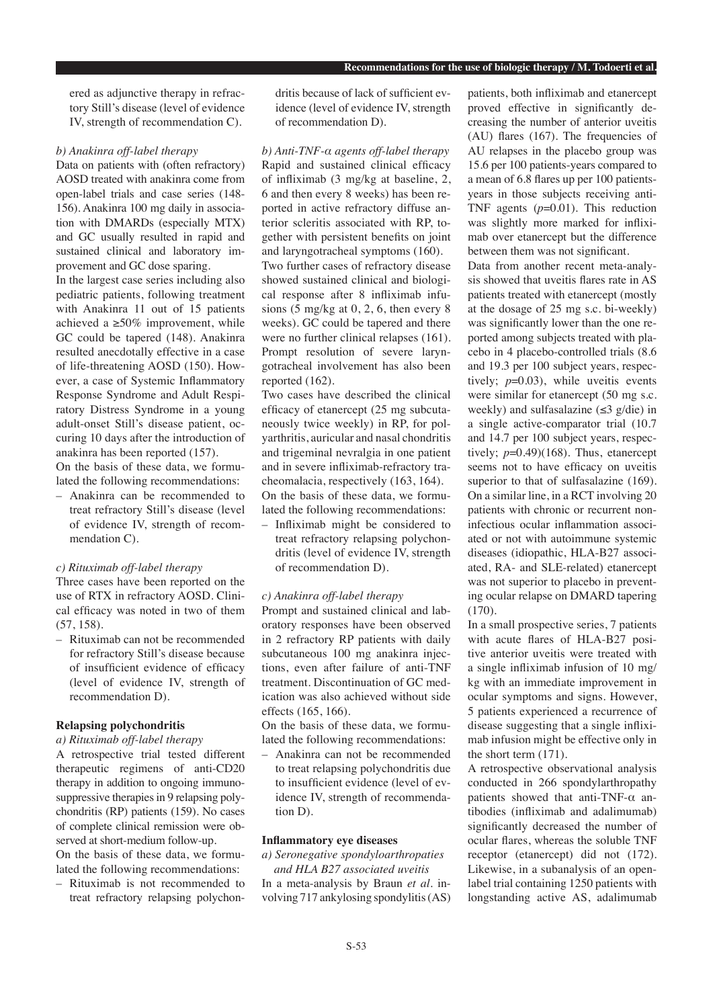ered as adjunctive therapy in refractory Still's disease (level of evidence IV, strength of recommendation C).

#### *b) Anakinra off-label therapy*

Data on patients with (often refractory) AOSD treated with anakinra come from open-label trials and case series (148- 156). Anakinra 100 mg daily in association with DMARDs (especially MTX) and GC usually resulted in rapid and sustained clinical and laboratory improvement and GC dose sparing.

In the largest case series including also pediatric patients, following treatment with Anakinra 11 out of 15 patients achieved a  $\geq 50\%$  improvement, while GC could be tapered (148). Anakinra resulted anecdotally effective in a case of life-threatening AOSD (150). However, a case of Systemic Inflammatory Response Syndrome and Adult Respiratory Distress Syndrome in a young adult-onset Still's disease patient, occuring 10 days after the introduction of anakinra has been reported (157).

On the basis of these data, we formulated the following recommendations:

– Anakinra can be recommended to treat refractory Still's disease (level of evidence IV, strength of recommendation C).

#### *c) Rituximab off-label therapy*

Three cases have been reported on the use of RTX in refractory AOSD. Clinical efficacy was noted in two of them (57, 158).

– Rituximab can not be recommended for refractory Still's disease because of insufficient evidence of efficacy (level of evidence IV, strength of recommendation D).

# **Relapsing polychondritis**

## *a) Rituximab off-label therapy*

A retrospective trial tested different therapeutic regimens of anti-CD20 therapy in addition to ongoing immunosuppressive therapies in 9 relapsing polychondritis (RP) patients (159). No cases of complete clinical remission were observed at short-medium follow-up. On the basis of these data, we formu-

lated the following recommendations: – Rituximab is not recommended to

treat refractory relapsing polychon-

dritis because of lack of sufficient evidence (level of evidence IV, strength of recommendation D).

*b) Anti-TNF-α agents off-label therapy* Rapid and sustained clinical efficacy of infliximab (3 mg/kg at baseline, 2, 6 and then every 8 weeks) has been reported in active refractory diffuse anterior scleritis associated with RP, together with persistent benefits on joint and laryngotracheal symptoms (160).

Two further cases of refractory disease showed sustained clinical and biological response after 8 infliximab infusions (5 mg/kg at 0, 2, 6, then every 8 weeks). GC could be tapered and there were no further clinical relapses (161). Prompt resolution of severe laryngotracheal involvement has also been reported (162).

Two cases have described the clinical efficacy of etanercept (25 mg subcutaneously twice weekly) in RP, for polyarthritis, auricular and nasal chondritis and trigeminal nevralgia in one patient and in severe infliximab-refractory tracheomalacia, respectively (163, 164). On the basis of these data, we formulated the following recommendations:

– Infliximab might be considered to treat refractory relapsing polychondritis (level of evidence IV, strength of recommendation D).

## *c) Anakinra off-label therapy*

Prompt and sustained clinical and laboratory responses have been observed in 2 refractory RP patients with daily subcutaneous 100 mg anakinra injections, even after failure of anti-TNF treatment. Discontinuation of GC medication was also achieved without side effects (165, 166).

On the basis of these data, we formulated the following recommendations:

– Anakinra can not be recommended to treat relapsing polychondritis due to insufficient evidence (level of evidence IV, strength of recommendation D).

#### **Inflammatory eye diseases**

*a) Seronegative spondyloarthropaties*

 *and HLA B27 associated uveitis* In a meta-analysis by Braun *et al.* involving 717 ankylosing spondylitis (AS)

patients, both infliximab and etanercept proved effective in significantly decreasing the number of anterior uveitis (AU) flares (167). The frequencies of AU relapses in the placebo group was 15.6 per 100 patients-years compared to a mean of 6.8 flares up per 100 patientsyears in those subjects receiving anti-TNF agents (*p*=0.01). This reduction was slightly more marked for infliximab over etanercept but the difference between them was not significant.

Data from another recent meta-analysis showed that uveitis flares rate in AS patients treated with etanercept (mostly at the dosage of 25 mg s.c. bi-weekly) was significantly lower than the one reported among subjects treated with placebo in 4 placebo-controlled trials (8.6 and 19.3 per 100 subject years, respectively;  $p=0.03$ ), while uveitis events were similar for etanercept (50 mg s.c. weekly) and sulfasalazine ( $\leq$ 3 g/die) in a single active-comparator trial (10.7 and 14.7 per 100 subject years, respectively;  $p=0.49$ )(168). Thus, etanercept seems not to have efficacy on uveitis superior to that of sulfasalazine (169). On a similar line, in a RCT involving 20 patients with chronic or recurrent noninfectious ocular inflammation associated or not with autoimmune systemic diseases (idiopathic, HLA-B27 associated, RA- and SLE-related) etanercept was not superior to placebo in preventing ocular relapse on DMARD tapering (170).

In a small prospective series, 7 patients with acute flares of HLA-B27 positive anterior uveitis were treated with a single infliximab infusion of 10 mg/ kg with an immediate improvement in ocular symptoms and signs. However, 5 patients experienced a recurrence of disease suggesting that a single infliximab infusion might be effective only in the short term (171).

A retrospective observational analysis conducted in 266 spondylarthropathy patients showed that anti-TNF-α antibodies (infliximab and adalimumab) significantly decreased the number of ocular flares, whereas the soluble TNF receptor (etanercept) did not (172). Likewise, in a subanalysis of an openlabel trial containing 1250 patients with longstanding active AS, adalimumab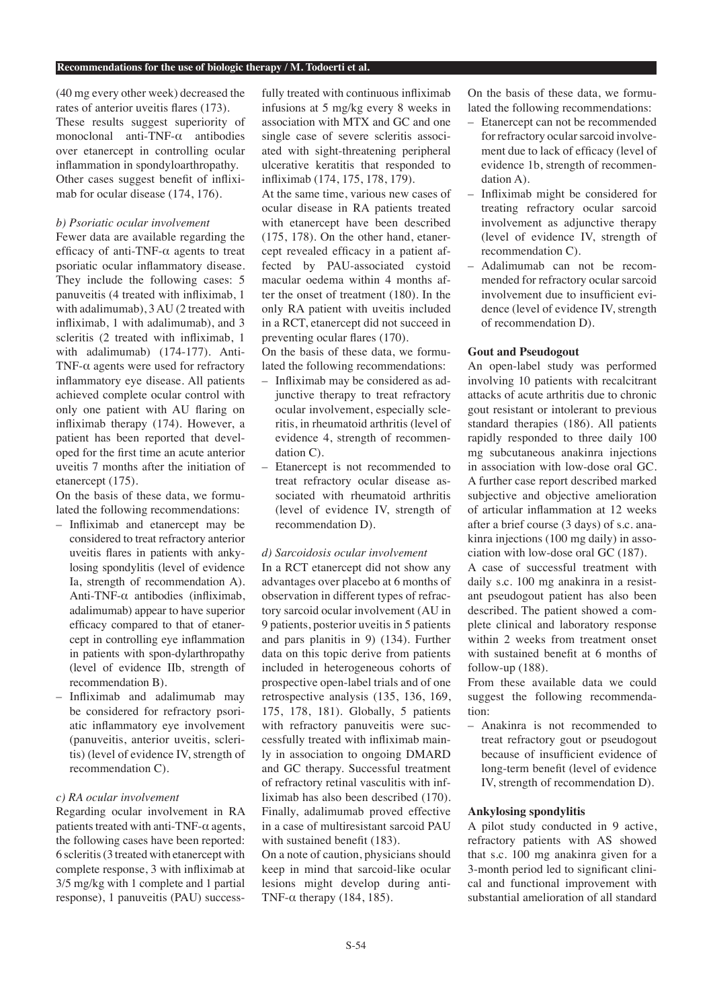(40 mg every other week) decreased the rates of anterior uveitis flares (173). These results suggest superiority of monoclonal anti-TNF-α antibodies over etanercept in controlling ocular inflammation in spondyloarthropathy. Other cases suggest benefit of infliximab for ocular disease (174, 176).

## *b) Psoriatic ocular involvement*

Fewer data are available regarding the efficacy of anti-TNF-α agents to treat psoriatic ocular inflammatory disease. They include the following cases: 5 panuveitis (4 treated with infliximab, 1 with adalimumab), 3 AU (2 treated with infliximab, 1 with adalimumab), and 3 scleritis (2 treated with infliximab, 1 with adalimumab) (174-177). Anti-TNF- $\alpha$  agents were used for refractory inflammatory eye disease. All patients achieved complete ocular control with only one patient with AU flaring on infliximab therapy (174). However, a patient has been reported that developed for the first time an acute anterior uveitis 7 months after the initiation of etanercept (175).

On the basis of these data, we formulated the following recommendations:

- Infliximab and etanercept may be considered to treat refractory anterior uveitis flares in patients with ankylosing spondylitis (level of evidence Ia, strength of recommendation A). Anti-TNF-α antibodies (infliximab, adalimumab) appear to have superior efficacy compared to that of etanercept in controlling eye inflammation in patients with spon-dylarthropathy (level of evidence IIb, strength of recommendation B).
- Infliximab and adalimumab may be considered for refractory psoriatic inflammatory eye involvement (panuveitis, anterior uveitis, scleritis) (level of evidence IV, strength of recommendation C).

# *c) RA ocular involvement*

Regarding ocular involvement in RA patients treated with anti-TNF- $\alpha$  agents, the following cases have been reported: 6 scleritis (3 treated with etanercept with complete response, 3 with infliximab at 3/5 mg/kg with 1 complete and 1 partial response), 1 panuveitis (PAU) successfully treated with continuous infliximab infusions at 5 mg/kg every 8 weeks in association with MTX and GC and one single case of severe scleritis associated with sight-threatening peripheral ulcerative keratitis that responded to infliximab (174, 175, 178, 179).

At the same time, various new cases of ocular disease in RA patients treated with etanercept have been described (175, 178). On the other hand, etanercept revealed efficacy in a patient affected by PAU-associated cystoid macular oedema within 4 months after the onset of treatment (180). In the only RA patient with uveitis included in a RCT, etanercept did not succeed in preventing ocular flares (170).

On the basis of these data, we formulated the following recommendations:

- Infliximab may be considered as adjunctive therapy to treat refractory ocular involvement, especially scleritis, in rheumatoid arthritis (level of evidence 4, strength of recommendation C).
- Etanercept is not recommended to treat refractory ocular disease associated with rheumatoid arthritis (level of evidence IV, strength of recommendation D).

#### *d) Sarcoidosis ocular involvement*

In a RCT etanercept did not show any advantages over placebo at 6 months of observation in different types of refractory sarcoid ocular involvement (AU in 9 patients, posterior uveitis in 5 patients and pars planitis in 9) (134). Further data on this topic derive from patients included in heterogeneous cohorts of prospective open-label trials and of one retrospective analysis (135, 136, 169, 175, 178, 181). Globally, 5 patients with refractory panuveitis were successfully treated with infliximab mainly in association to ongoing DMARD and GC therapy. Successful treatment of refractory retinal vasculitis with infliximab has also been described (170). Finally, adalimumab proved effective in a case of multiresistant sarcoid PAU with sustained benefit (183).

On a note of caution, physicians should keep in mind that sarcoid-like ocular lesions might develop during anti-TNF- $\alpha$  therapy (184, 185).

On the basis of these data, we formulated the following recommendations:

- Etanercept can not be recommended for refractory ocular sarcoid involvement due to lack of efficacy (level of evidence 1b, strength of recommendation A).
- Infliximab might be considered for treating refractory ocular sarcoid involvement as adjunctive therapy (level of evidence IV, strength of recommendation C).
- Adalimumab can not be recommended for refractory ocular sarcoid involvement due to insufficient evidence (level of evidence IV, strength of recommendation D).

#### **Gout and Pseudogout**

An open-label study was performed involving 10 patients with recalcitrant attacks of acute arthritis due to chronic gout resistant or intolerant to previous standard therapies (186). All patients rapidly responded to three daily 100 mg subcutaneous anakinra injections in association with low-dose oral GC. A further case report described marked subjective and objective amelioration of articular inflammation at 12 weeks after a brief course (3 days) of s.c. anakinra injections (100 mg daily) in association with low-dose oral GC (187).

A case of successful treatment with daily s.c. 100 mg anakinra in a resistant pseudogout patient has also been described. The patient showed a complete clinical and laboratory response within 2 weeks from treatment onset with sustained benefit at 6 months of follow-up (188).

From these available data we could suggest the following recommendation:

– Anakinra is not recommended to treat refractory gout or pseudogout because of insufficient evidence of long-term benefit (level of evidence IV, strength of recommendation D).

## **Ankylosing spondylitis**

A pilot study conducted in 9 active, refractory patients with AS showed that s.c. 100 mg anakinra given for a 3-month period led to significant clinical and functional improvement with substantial amelioration of all standard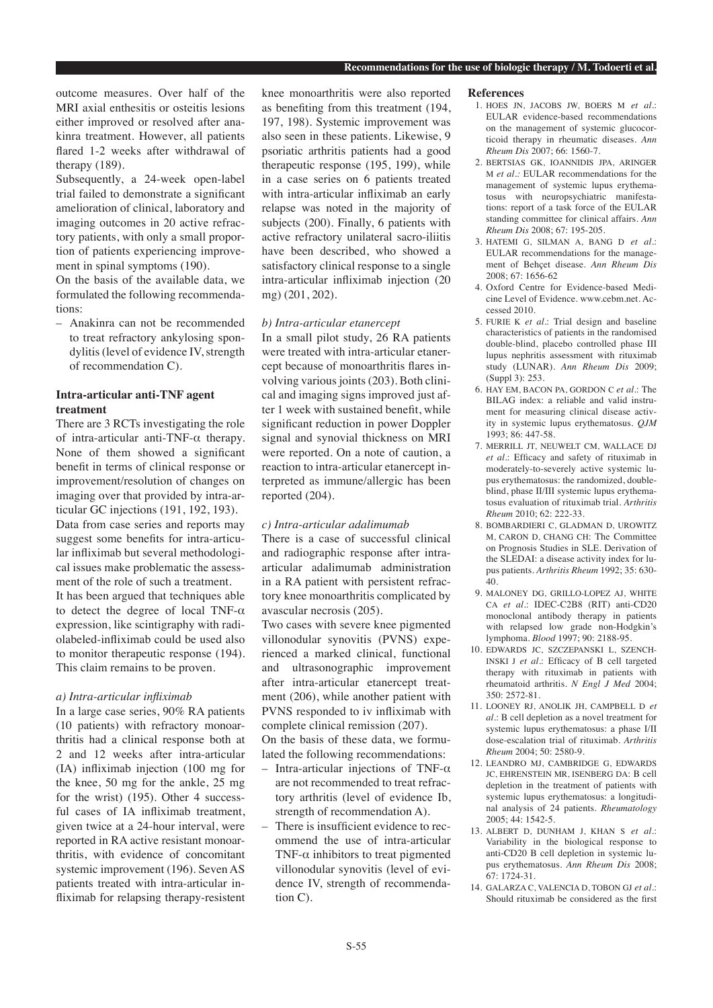outcome measures. Over half of the MRI axial enthesitis or osteitis lesions either improved or resolved after anakinra treatment. However, all patients flared 1-2 weeks after withdrawal of therapy (189).

Subsequently, a 24-week open-label trial failed to demonstrate a significant amelioration of clinical, laboratory and imaging outcomes in 20 active refractory patients, with only a small proportion of patients experiencing improvement in spinal symptoms (190).

On the basis of the available data, we formulated the following recommendations:

– Anakinra can not be recommended to treat refractory ankylosing spondylitis (level of evidence IV, strength of recommendation C).

# **Intra-articular anti-TNF agent treatment**

There are 3 RCTs investigating the role of intra-articular anti-TNF-α therapy. None of them showed a significant benefit in terms of clinical response or improvement/resolution of changes on imaging over that provided by intra-articular GC injections (191, 192, 193). Data from case series and reports may suggest some benefits for intra-articular infliximab but several methodological issues make problematic the assessment of the role of such a treatment. It has been argued that techniques able to detect the degree of local TNF- $\alpha$ expression, like scintigraphy with radiolabeled-infliximab could be used also to monitor therapeutic response (194). This claim remains to be proven.

#### *a) Intra-articular infliximab*

In a large case series, 90% RA patients (10 patients) with refractory monoarthritis had a clinical response both at 2 and 12 weeks after intra-articular (IA) infliximab injection (100 mg for the knee, 50 mg for the ankle, 25 mg for the wrist) (195). Other 4 successful cases of IA infliximab treatment, given twice at a 24-hour interval, were reported in RA active resistant monoarthritis, with evidence of concomitant systemic improvement (196). Seven AS patients treated with intra-articular infliximab for relapsing therapy-resistent knee monoarthritis were also reported as benefiting from this treatment (194, 197, 198). Systemic improvement was also seen in these patients. Likewise, 9 psoriatic arthritis patients had a good therapeutic response (195, 199), while in a case series on 6 patients treated with intra-articular infliximab an early relapse was noted in the majority of subjects (200). Finally, 6 patients with active refractory unilateral sacro-iliitis have been described, who showed a satisfactory clinical response to a single intra-articular infliximab injection (20 mg) (201, 202).

## *b) Intra-articular etanercept*

In a small pilot study, 26 RA patients were treated with intra-articular etanercept because of monoarthritis flares involving various joints (203). Both clinical and imaging signs improved just after 1 week with sustained benefit, while significant reduction in power Doppler signal and synovial thickness on MRI were reported. On a note of caution, a reaction to intra-articular etanercept interpreted as immune/allergic has been reported (204).

## *c) Intra-articular adalimumab*

There is a case of successful clinical and radiographic response after intraarticular adalimumab administration in a RA patient with persistent refractory knee monoarthritis complicated by avascular necrosis (205).

Two cases with severe knee pigmented villonodular synovitis (PVNS) experienced a marked clinical, functional and ultrasonographic improvement after intra-articular etanercept treatment (206), while another patient with PVNS responded to iv infliximab with complete clinical remission (207). On the basis of these data, we formulated the following recommendations:

- Intra-articular injections of TNF- $\alpha$ are not recommended to treat refractory arthritis (level of evidence Ib, strength of recommendation A).
- There is insufficient evidence to recommend the use of intra-articular TNF- $\alpha$  inhibitors to treat pigmented villonodular synovitis (level of evidence IV, strength of recommendation C).

#### **References**

- 1. HOES JN, JACOBS JW, BOERS M *et al*.: EULAR evidence-based recommendations on the management of systemic glucocorticoid therapy in rheumatic diseases. *Ann Rheum Dis* 2007; 66: 1560-7.
- 2. BERTSIAS GK, IOANNIDIS JPA, ARINGER M *et al.:* EULAR recommendations for the management of systemic lupus erythematosus with neuropsychiatric manifestations: report of a task force of the EULAR standing committee for clinical affairs. *Ann Rheum Dis* 2008; 67: 195-205.
- 3. HATEMI G, SILMAN A, BANG D *et al.*: EULAR recommendations for the management of Behçet disease. *Ann Rheum Dis* 2008; 67: 1656-62
- 4. Oxford Centre for Evidence-based Medicine Level of Evidence. www.cebm.net. Accessed 2010.
- 5. FURIE K *et al*.: Trial design and baseline characteristics of patients in the randomised double-blind, placebo controlled phase III lupus nephritis assessment with rituximab study (LUNAR). *Ann Rheum Dis* 2009; (Suppl 3): 253.
- 6. HAY EM, BACON PA, GORDON C *et al*.: The BILAG index: a reliable and valid instrument for measuring clinical disease activity in systemic lupus erythematosus. *QJM* 1993; 86: 447-58.
- 7. MERRILL JT, NEUWELT CM, WALLACE DJ *et al*.: Efficacy and safety of rituximab in moderately-to-severely active systemic lupus erythematosus: the randomized, doubleblind, phase II/III systemic lupus erythematosus evaluation of rituximab trial. *Arthritis Rheum* 2010; 62: 222-33.
- 8. BOMBARDIERI C, GLADMAN D, UROWITZ M, CARON D, CHANG CH: The Committee on Prognosis Studies in SLE. Derivation of the SLEDAI: a disease activity index for lupus patients. *Arthritis Rheum* 1992; 35: 630- 40.
- 9. MALONEY DG, GRILLO-LOPEZ AJ, WHITE CA *et al.*: IDEC-C2B8 (RIT) anti-CD20 monoclonal antibody therapy in patients with relapsed low grade non-Hodgkin's lymphoma. *Blood* 1997; 90: 2188-95.
- 10. EDWARDS JC, SZCZEPANSKI L, SZENCH-INSKI J *et al.*: Efficacy of B cell targeted therapy with rituximab in patients with rheumatoid arthritis. *N Engl J Med* 2004; 350: 2572-81.
- 11. LOONEY RJ, ANOLIK JH, CAMPBELL D *et al.*: B cell depletion as a novel treatment for systemic lupus erythematosus: a phase I/II dose-escalation trial of rituximab. *Arthritis Rheum* 2004; 50: 2580-9.
- 12. LEANDRO MJ, CAMBRIDGE G, EDWARDS JC, EHRENSTEIN MR, ISENBERG DA: B cell depletion in the treatment of patients with systemic lupus erythematosus: a longitudinal analysis of 24 patients. *Rheumatology* 2005; 44: 1542-5.
- 13. ALBERT D, DUNHAM J, KHAN S *et al.*: Variability in the biological response to anti-CD20 B cell depletion in systemic lupus erythematosus. *Ann Rheum Dis* 2008; 67: 1724-31.
- 14. GALARZA C, VALENCIA D, TOBON GJ *et al.*: Should rituximab be considered as the first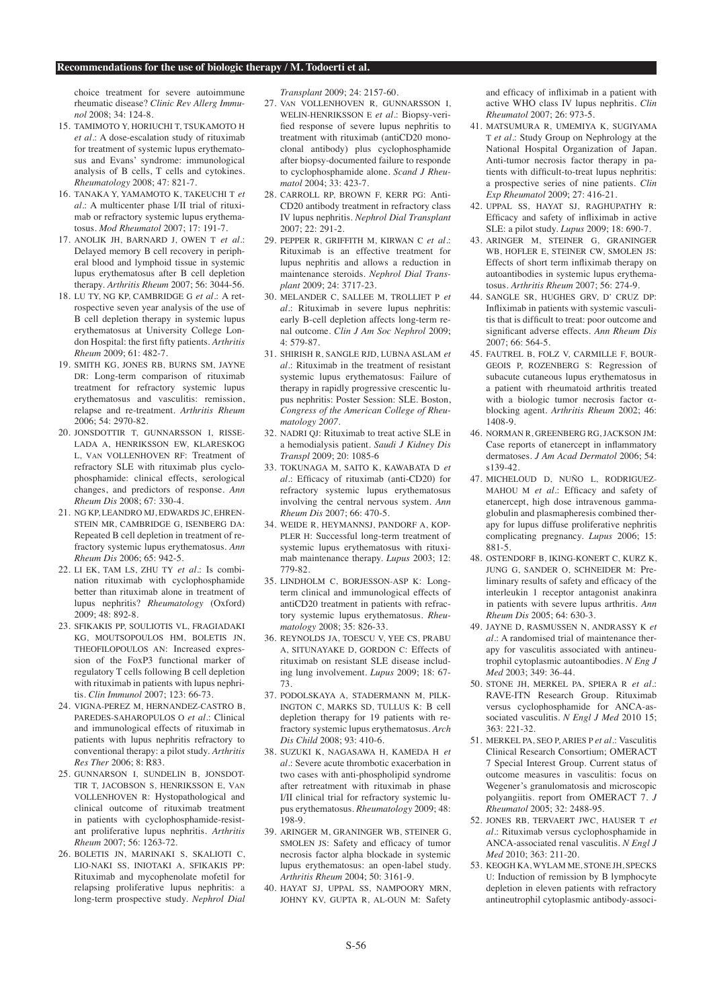choice treatment for severe autoimmune rheumatic disease? *Clinic Rev Allerg Immunol* 2008; 34: 124-8.

- 15. TAMIMOTO Y, HORIUCHI T, TSUKAMOTO H *et al.*: A dose-escalation study of rituximab for treatment of systemic lupus erythematosus and Evans' syndrome: immunological analysis of B cells, T cells and cytokines. *Rheumatology* 2008; 47: 821-7.
- 16. TANAKA Y, YAMAMOTO K, TAKEUCHI T *et al.*: A multicenter phase I/II trial of rituximab or refractory systemic lupus erythematosus. *Mod Rheumatol* 2007; 17: 191-7.
- 17. ANOLIK JH, BARNARD J, OWEN T *et al.*: Delayed memory B cell recovery in peripheral blood and lymphoid tissue in systemic lupus erythematosus after B cell depletion therapy. *Arthritis Rheum* 2007; 56: 3044-56.
- 18. LU TY, NG KP, CAMBRIDGE G *et al.*: A retrospective seven year analysis of the use of B cell depletion therapy in systemic lupus erythematosus at University College London Hospital: the first fifty patients. *Arthritis Rheum* 2009; 61: 482-7.
- 19. SMITH KG, JONES RB, BURNS SM, JAYNE DR: Long-term comparison of rituximab treatment for refractory systemic lupus erythematosus and vasculitis: remission, relapse and re-treatment. *Arthritis Rheum* 2006; 54: 2970-82.
- 20. JONSDOTTIR T, GUNNARSSON I, RISSE-LADA A, HENRIKSSON EW, KLARESKOG L, VAN VOLLENHOVEN RF: Treatment of refractory SLE with rituximab plus cyclophosphamide: clinical effects, serological changes, and predictors of response. *Ann Rheum Dis* 2008; 67: 330-4.
- 21. NG KP, LEANDRO MJ, EDWARDS JC, EHREN-STEIN MR, CAMBRIDGE G, ISENBERG DA: Repeated B cell depletion in treatment of refractory systemic lupus erythematosus. *Ann Rheum Dis* 2006; 65: 942-5.
- 22. LI EK, TAM LS, ZHU TY *et al.*: Is combination rituximab with cyclophosphamide better than rituximab alone in treatment of lupus nephritis? *Rheumatology* (Oxford) 2009; 48: 892-8.
- 23. SFIKAKIS PP, SOULIOTIS VL, FRAGIADAKI KG, MOUTSOPOULOS HM, BOLETIS JN, THEOFILOPOULOS AN: Increased expression of the FoxP3 functional marker of regulatory T cells following B cell depletion with rituximab in patients with lupus nephritis. *Clin Immunol* 2007; 123: 66-73.
- 24. VIGNA-PEREZ M, HERNANDEZ-CASTRO B, PAREDES-SAHAROPULOS O *et al.*: Clinical and immunological effects of rituximab in patients with lupus nephritis refractory to conventional therapy: a pilot study. *Arthritis Res Ther* 2006; 8: R83.
- 25. GUNNARSON I, SUNDELIN B, JONSDOT-TIR T, JACOBSON S, HENRIKSSON E, VAN VOLLENHOVEN R: Hystopathological and clinical outcome of rituximab treatment in patients with cyclophosphamide-resistant proliferative lupus nephritis. *Arthritis Rheum* 2007; 56: 1263-72.
- 26. BOLETIS JN, MARINAKI S, SKALIOTI C, LIO-NAKI SS, INIOTAKI A, SFIKAKIS PP: Rituximab and mycophenolate mofetil for relapsing proliferative lupus nephritis: a long-term prospective study. *Nephrol Dial*

*Transplant* 2009; 24: 2157-60.

- 27. VAN VOLLENHOVEN R, GUNNARSSON I, WELIN-HENRIKSSON E *et al.*: Biopsy-verified response of severe lupus nephritis to treatment with rituximab (antiCD20 monoclonal antibody) plus cyclophosphamide after biopsy-documented failure to responde to cyclophosphamide alone. *Scand J Rheumatol* 2004; 33: 423-7.
- 28. CARROLL RP, BROWN F, KERR PG: Anti-CD20 antibody treatment in refractory class IV lupus nephritis. *Nephrol Dial Transplant*  $2007 \cdot 22 \cdot 291 - 2$
- 29. PEPPER R, GRIFFITH M, KIRWAN C *et al.*: Rituximab is an effective treatment for lupus nephritis and allows a reduction in maintenance steroids. *Nephrol Dial Transplant* 2009; 24: 3717-23.
- 30. MELANDER C, SALLEE M, TROLLIET P *et al.*: Rituximab in severe lupus nephritis: early B-cell depletion affects long-term renal outcome. *Clin J Am Soc Nephrol* 2009; 4: 579-87.
- 31. SHIRISH R, SANGLE RJD, LUBNA ASLAM *et al.*: Rituximab in the treatment of resistant systemic lupus erythematosus: Failure of therapy in rapidly progressive crescentic lupus nephritis: Poster Session: SLE. Boston, *Congress of the American College of Rheumatology 2007*.
- 32. NADRI QJ: Rituximab to treat active SLE in a hemodialysis patient. *Saudi J Kidney Dis Transpl* 2009; 20: 1085-6
- 33. TOKUNAGA M, SAITO K, KAWABATA D *et al.*: Efficacy of rituximab (anti-CD20) for refractory systemic lupus erythematosus involving the central nervous system. *Ann Rheum Dis* 2007; 66: 470-5.
- 34. WEIDE R, HEYMANNSJ, PANDORF A, KOP-PLER H: Successful long-term treatment of systemic lupus erythematosus with rituximab maintenance therapy. *Lupus* 2003; 12: 779-82.
- 35. LINDHOLM C, BORJESSON-ASP K: Longterm clinical and immunological effects of antiCD20 treatment in patients with refractory systemic lupus erythematosus. *Rheumatology* 2008; 35: 826-33.
- 36. REYNOLDS JA, TOESCU V, YEE CS, PRABU A, SITUNAYAKE D, GORDON C: Effects of rituximab on resistant SLE disease including lung involvement. *Lupus* 2009; 18: 67- 73.
- 37. PODOLSKAYA A, STADERMANN M, PILK-INGTON C, MARKS SD, TULLUS K: B cell depletion therapy for 19 patients with refractory systemic lupus erythematosus. *Arch Dis Child* 2008; 93: 410-6.
- 38. SUZUKI K, NAGASAWA H, KAMEDA H *et al.*: Severe acute thrombotic exacerbation in two cases with anti-phospholipid syndrome after retreatment with rituximab in phase I/II clinical trial for refractory systemic lupus erythematosus. *Rheumatology* 2009; 48: 198-9.
- 39. ARINGER M, GRANINGER WB, STEINER G, SMOLEN JS: Safety and efficacy of tumor necrosis factor alpha blockade in systemic lupus erythematosus: an open-label study. *Arthritis Rheum* 2004; 50: 3161-9.
- 40. HAYAT SJ, UPPAL SS, NAMPOORY MRN, JOHNY KV, GUPTA R, AL-OUN M: Safety

and efficacy of infliximab in a patient with active WHO class IV lupus nephritis. *Clin Rheumatol* 2007; 26: 973-5.

- 41. MATSUMURA R, UMEMIYA K, SUGIYAMA T *et al.*: Study Group on Nephrology at the National Hospital Organization of Japan. Anti-tumor necrosis factor therapy in patients with difficult-to-treat lupus nephritis: a prospective series of nine patients. *Clin Exp Rheumatol* 2009; 27: 416-21.
- 42. UPPAL SS, HAYAT SJ, RAGHUPATHY R: Efficacy and safety of infliximab in active SLE: a pilot study. *Lupus* 2009; 18: 690-7.
- 43. ARINGER M, STEINER G, GRANINGER WB, HOFLER E, STEINER CW, SMOLEN JS: Effects of short term infliximab therapy on autoantibodies in systemic lupus erythematosus. *Arthritis Rheum* 2007; 56: 274-9.
- 44. SANGLE SR, HUGHES GRV, D' CRUZ DP: Infliximab in patients with systemic vasculitis that is difficult to treat: poor outcome and significant adverse effects. *Ann Rheum Dis* 2007; 66: 564-5.
- 45. FAUTREL B, FOLZ V, CARMILLE F, BOUR-GEOIS P, ROZENBERG S: Regression of subacute cutaneous lupus erythematosus in a patient with rheumatoid arthritis treated with a biologic tumor necrosis factor αblocking agent. *Arthritis Rheum* 2002; 46: 1408-9.
- 46. NORMAN R, GREENBERG RG, JACKSON JM: Case reports of etanercept in inflammatory dermatoses. *J Am Acad Dermatol* 2006; 54: s139-42.
- 47. MICHELOUD D, NUÑO L, RODRIGUEZ-MAHOU M *et al.*: Efficacy and safety of etanercept, high dose intravenous gammaglobulin and plasmapheresis combined therapy for lupus diffuse proliferative nephritis complicating pregnancy. *Lupus* 2006; 15: 881-5.
- 48. OSTENDORF B, IKING-KONERT C, KURZ K, JUNG G, SANDER O, SCHNEIDER M: Preliminary results of safety and efficacy of the interleukin 1 receptor antagonist anakinra in patients with severe lupus arthritis. *Ann Rheum Dis* 2005; 64: 630-3.
- 49. JAYNE D, RASMUSSEN N, ANDRASSY K *et al.*: A randomised trial of maintenance therapy for vasculitis associated with antineutrophil cytoplasmic autoantibodies. *N Eng J Med* 2003; 349: 36-44.
- 50. STONE JH, MERKEL PA, SPIERA R *et al.*: RAVE-ITN Research Group. Rituximab versus cyclophosphamide for ANCA-associated vasculitis. *N Engl J Med* 2010 15; 363: 221-32.
- 51. MERKEL PA, SEO P, ARIES P *et al.*: Vasculitis Clinical Research Consortium; OMERACT 7 Special Interest Group. Current status of outcome measures in vasculitis: focus on Wegener's granulomatosis and microscopic polyangiitis. report from OMERACT 7. *J Rheumatol* 2005; 32: 2488-95.
- 52. JONES RB, TERVAERT JWC, HAUSER T *et al.*: Rituximab versus cyclophosphamide in ANCA-associated renal vasculitis. *N Engl J Med* 2010; 363: 211-20.
- 53. KEOGH KA, WYLAM ME, STONE JH, SPECKS U: Induction of remission by B lymphocyte depletion in eleven patients with refractory antineutrophil cytoplasmic antibody-associ-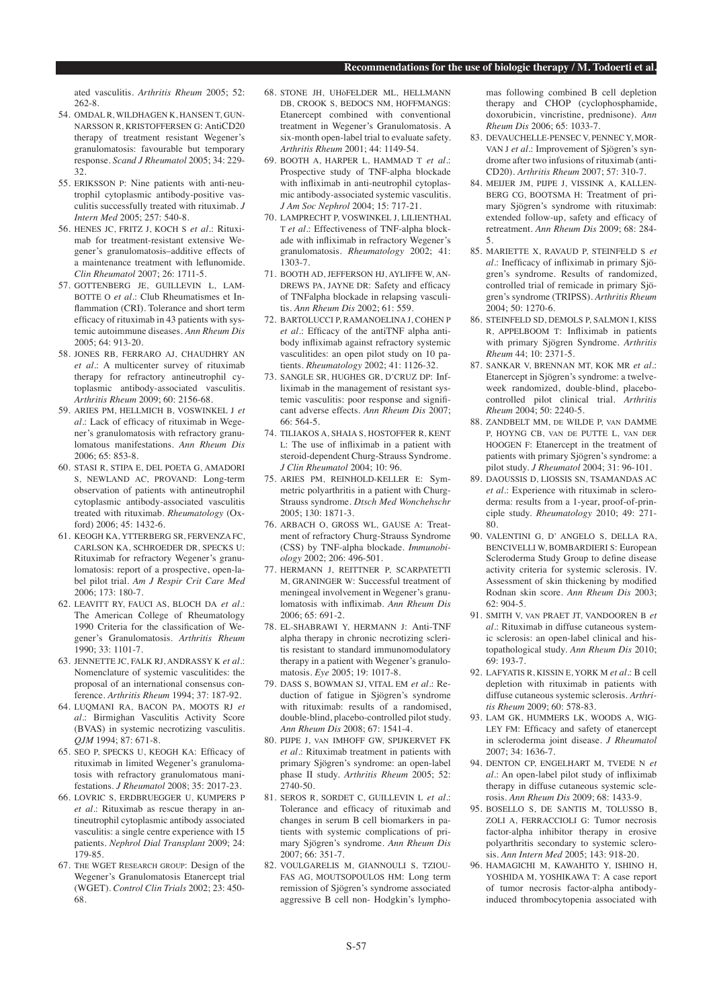ated vasculitis. *Arthritis Rheum* 2005; 52: 262-8.

- 54. OMDAL R, WILDHAGEN K, HANSEN T, GUN-NARSSON R, KRISTOFFERSEN G: AntiCD20 therapy of treatment resistant Wegener's granulomatosis: favourable but temporary response. *Scand J Rheumatol* 2005; 34: 229- 32.
- 55. ERIKSSON P: Nine patients with anti-neutrophil cytoplasmic antibody-positive vasculitis successfully treated with rituximab*. J Intern Med* 2005; 257: 540-8.
- 56. HENES JC, FRITZ J, KOCH S *et al.*: Rituximab for treatment-resistant extensive Wegener's granulomatosis–additive effects of a maintenance treatment with leflunomide. *Clin Rheumatol* 2007; 26: 1711-5.
- 57. GOTTENBERG JE, GUILLEVIN L, LAM-BOTTE O *et al.*: Club Rheumatismes et Inflammation (CRI). Tolerance and short term efficacy of rituximab in 43 patients with systemic autoimmune diseases. *Ann Rheum Dis* 2005; 64: 913-20.
- 58. JONES RB, FERRARO AJ, CHAUDHRY AN *et al.*: A multicenter survey of rituximab therapy for refractory antineutrophil cytoplasmic antibody-associated vasculitis. *Arthritis Rheum* 2009; 60: 2156-68.
- 59. ARIES PM, HELLMICH B, VOSWINKEL J *et al.*: Lack of efficacy of rituximab in Wegener's granulomatosis with refractory granulomatous manifestations. *Ann Rheum Dis* 2006; 65: 853-8.
- 60. STASI R, STIPA E, DEL POETA G, AMADORI S, NEWLAND AC, PROVAND: Long-term observation of patients with antineutrophil cytoplasmic antibody-associated vasculitis treated with rituximab. *Rheumatology* (Oxford) 2006; 45: 1432-6.
- 61. KEOGH KA, YTTERBERG SR, FERVENZA FC, CARLSON KA, SCHROEDER DR, SPECKS U: Rituximab for refractory Wegener's granulomatosis: report of a prospective, open-label pilot trial. *Am J Respir Crit Care Med* 2006; 173: 180-7.
- 62. LEAVITT RY, FAUCI AS, BLOCH DA *et al.*: The American College of Rheumatology 1990 Criteria for the classification of Wegener's Granulomatosis. *Arthritis Rheum* 1990; 33: 1101-7.
- 63. JENNETTE JC, FALK RJ, ANDRASSY K *et al.*: Nomenclature of systemic vasculitides: the proposal of an international consensus conference*. Arthritis Rheum* 1994; 37: 187-92.
- 64. LUQMANI RA, BACON PA, MOOTS RJ *et al.*: Birmighan Vasculitis Activity Score (BVAS) in systemic necrotizing vasculitis. *QJM* 1994; 87: 671-8.
- 65. SEO P, SPECKS U, KEOGH KA: Efficacy of rituximab in limited Wegener's granulomatosis with refractory granulomatous manifestations. *J Rheumatol* 2008; 35: 2017-23.
- 66. LOVRIC S, ERDBRUEGGER U, KUMPERS P *et al.*: Rituximab as rescue therapy in antineutrophil cytoplasmic antibody associated vasculitis: a single centre experience with 15 patients. *Nephrol Dial Transplant* 2009; 24: 179-85.
- 67. THE WGET RESEARCH GROUP: Design of the Wegener's Granulomatosis Etanercept trial (WGET). *Control Clin Trials* 2002; 23: 450- 68.
- 68. STONE JH, UHAFELDER ML, HELLMANN DB, CROOK S, BEDOCS NM, HOFFMANGS: Etanercept combined with conventional treatment in Wegener's Granulomatosis. A six-month open-label trial to evaluate safety. *Arthritis Rheum* 2001; 44: 1149-54.
- 69. BOOTH A, HARPER L, HAMMAD T *et al.*: Prospective study of TNF-alpha blockade with infliximab in anti-neutrophil cytoplasmic antibody-associated systemic vasculitis. *J Am Soc Nephrol* 2004; 15: 717-21.
- 70. LAMPRECHT P, VOSWINKEL J, LILIENTHAL T *et al.*: Effectiveness of TNF-alpha blockade with infliximab in refractory Wegener's granulomatosis. *Rheumatology* 2002; 41: 1303-7.
- 71. BOOTH AD, JEFFERSON HJ, AYLIFFE W, AN-DREWS PA, JAYNE DR: Safety and efficacy of TNFalpha blockade in relapsing vasculitis. *Ann Rheum Dis* 2002; 61: 559.
- 72. BARTOLUCCI P, RAMANOELINA J, COHEN P *et al.*: Efficacy of the antiTNF alpha antibody infliximab against refractory systemic vasculitides: an open pilot study on 10 patients. *Rheumatology* 2002; 41: 1126-32.
- 73. SANGLE SR, HUGHES GR, D'CRUZ DP: Infliximab in the management of resistant systemic vasculitis: poor response and significant adverse effects. *Ann Rheum Dis* 2007; 66: 564-5.
- 74. TILIAKOS A, SHAIA S, HOSTOFFER R, KENT L: The use of infliximab in a patient with steroid-dependent Churg-Strauss Syndrome. *J Clin Rheumatol* 2004; 10: 96.
- 75. ARIES PM, REINHOLD-KELLER E: Symmetric polyarthritis in a patient with Churg-Strauss syndrome. *Dtsch Med Wonchehschr* 2005; 130: 1871-3.
- 76. ARBACH O, GROSS WL, GAUSE A: Treatment of refractory Churg-Strauss Syndrome (CSS) by TNF-alpha blockade*. Immunobiology* 2002; 206: 496-501.
- 77. HERMANN J, REITTNER P, SCARPATETTI M, GRANINGER W: Successful treatment of meningeal involvement in Wegener's granulomatosis with infliximab. *Ann Rheum Dis* 2006; 65: 691-2.
- 78. EL-SHABRAWI Y, HERMANN J: Anti-TNF alpha therapy in chronic necrotizing scleritis resistant to standard immunomodulatory therapy in a patient with Wegener's granulomatosis. *Eye* 2005; 19: 1017-8.
- 79. DASS S, BOWMAN SJ, VITAL EM *et al.*: Reduction of fatigue in Sjögren's syndrome with rituximab: results of a randomised, double-blind, placebo-controlled pilot study. *Ann Rheum Dis* 2008; 67: 1541-4.
- 80. PIJPE J, VAN IMHOFF GW, SPIJKERVET FK *et al.*: Rituximab treatment in patients with primary Sjögren's syndrome: an open-label phase II study. *Arthritis Rheum* 2005; 52: 2740-50.
- 81. SEROS R, SORDET C, GUILLEVIN L *et al.*: Tolerance and efficacy of rituximab and changes in serum B cell biomarkers in patients with systemic complications of primary Sjögren's syndrome. *Ann Rheum Dis*  $2007:66:351-7$ .
- 82. VOULGARELIS M, GIANNOULI S, TZIOU-FAS AG, MOUTSOPOULOS HM: Long term remission of Sjögren's syndrome associated aggressive B cell non- Hodgkin's lympho-

mas following combined B cell depletion therapy and CHOP (cyclophosphamide, doxorubicin, vincristine, prednisone). *Ann Rheum Dis* 2006; 65: 1033-7.

- 83. DEVAUCHELLE-PENSEC V, PENNEC Y, MOR-VAN J *et al.*: Improvement of Sjögren's syndrome after two infusions of rituximab (anti-CD20). *Arthritis Rheum* 2007; 57: 310-7.
- 84. MEIJER JM, PIJPE J, VISSINK A, KALLEN-BERG CG, BOOTSMA H: Treatment of primary Sjögren's syndrome with rituximab: extended follow-up, safety and efficacy of retreatment. *Ann Rheum Dis* 2009; 68: 284- 5.
- 85. MARIETTE X, RAVAUD P, STEINFELD S *et al.*: Inefficacy of infliximab in primary Sjögren's syndrome. Results of randomized, controlled trial of remicade in primary Sjögren's syndrome (TRIPSS). *Arthritis Rheum* 2004; 50: 1270-6.
- 86. STEINFELD SD, DEMOLS P, SALMON I, KISS R, APPELBOOM T: Infliximab in patients with primary Sjögren Syndrome. *Arthritis Rheum* 44; 10: 2371-5.
- 87. SANKAR V, BRENNAN MT, KOK MR *et al.*: Etanercept in Sjögren's syndrome: a twelveweek randomized, double-blind, placebocontrolled pilot clinical trial. *Arthritis Rheum* 2004; 50: 2240-5.
- 88. ZANDBELT MM, DE WILDE P, VAN DAMME P, HOYNG CB, VAN DE PUTTE L, VAN DER HOOGEN F: Etanercept in the treatment of patients with primary Sjögren's syndrome: a pilot study. *J Rheumatol* 2004; 31: 96-101.
- 89. DAOUSSIS D, LIOSSIS SN, TSAMANDAS AC *et al.*: Experience with rituximab in scleroderma: results from a 1-year, proof-of-principle study. *Rheumatology* 2010; 49: 271- 80.
- 90. VALENTINI G, D' ANGELO S, DELLA RA, BENCIVELLI W, BOMBARDIERI S: European Scleroderma Study Group to define disease activity criteria for systemic sclerosis. IV. Assessment of skin thickening by modified Rodnan skin score. *Ann Rheum Dis* 2003; 62: 904-5.
- 91. SMITH V, VAN PRAET JT, VANDOOREN B *et al.*: Rituximab in diffuse cutaneous systemic sclerosis: an open-label clinical and histopathological study. *Ann Rheum Dis* 2010; 69: 193-7.
- 92. LAFYATIS R, KISSIN E, YORK M *et al.*: B cell depletion with rituximab in patients with diffuse cutaneous systemic sclerosis. *Arthritis Rheum* 2009; 60: 578-83.
- 93. LAM GK, HUMMERS LK, WOODS A, WIG-LEY FM: Efficacy and safety of etanercept in scleroderma joint disease. *J Rheumatol* 2007; 34: 1636-7.
- 94. DENTON CP, ENGELHART M, TVEDE N *et al.*: An open-label pilot study of infliximab therapy in diffuse cutaneous systemic sclerosis. *Ann Rheum Dis* 2009; 68: 1433-9.
- 95. BOSELLO S, DE SANTIS M, TOLUSSO B, ZOLI A, FERRACCIOLI G: Tumor necrosis factor-alpha inhibitor therapy in erosive polyarthritis secondary to systemic sclerosis*. Ann Intern Med* 2005; 143: 918-20.
- 96. HAMAGICHI M, KAWAHITO Y, ISHINO H, YOSHIDA M, YOSHIKAWA T: A case report of tumor necrosis factor-alpha antibodyinduced thrombocytopenia associated with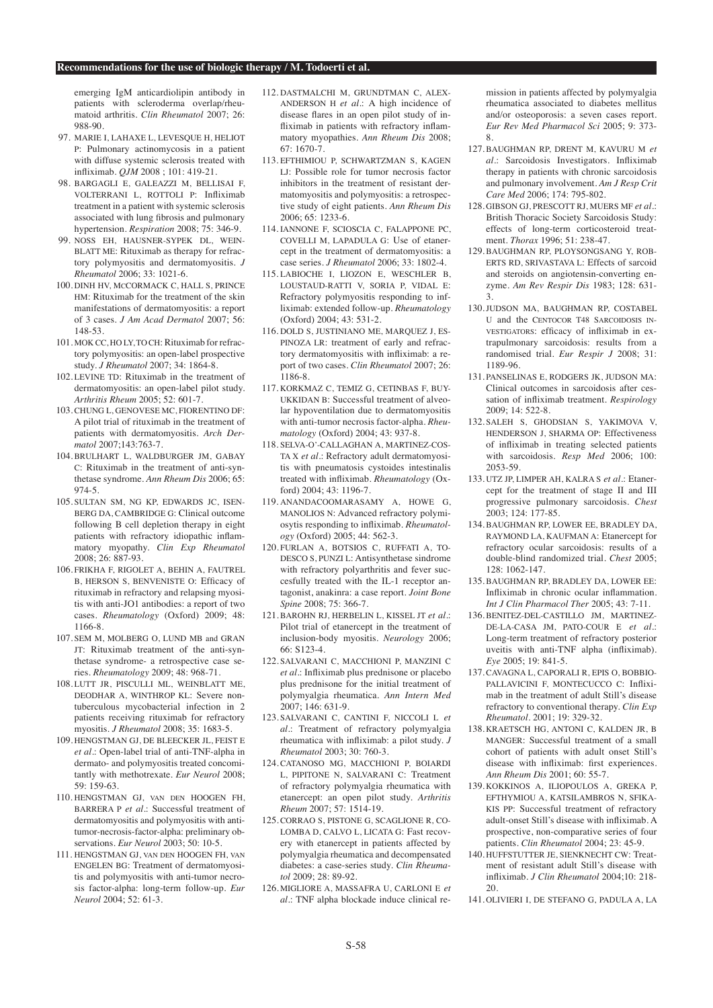emerging IgM anticardiolipin antibody in patients with scleroderma overlap/rheumatoid arthritis. *Clin Rheumatol* 2007; 26: 988-90.

- 97. MARIE I, LAHAXE L, LEVESQUE H, HELIOT P: Pulmonary actinomycosis in a patient with diffuse systemic sclerosis treated with infliximab. *QJM* 2008 ; 101: 419-21.
- 98. BARGAGLI E, GALEAZZI M, BELLISAI F, VOLTERRANI L, ROTTOLI P: Infliximab treatment in a patient with systemic sclerosis associated with lung fibrosis and pulmonary hypertension. *Respiration* 2008; 75: 346-9.
- 99. NOSS EH, HAUSNER-SYPEK DL, WEIN-BLATT ME: Rituximab as therapy for refractory polymyositis and dermatomyositis. *J Rheumatol* 2006; 33: 1021-6.
- 100. DINH HV, MCCORMACK C, HALL S, PRINCE HM: Rituximab for the treatment of the skin manifestations of dermatomyositis: a report of 3 cases. *J Am Acad Dermatol* 2007; 56: 148-53.
- 101. MOK CC, HO LY, TO CH: Rituximab for refractory polymyositis: an open-label prospective study. *J Rheumatol* 2007; 34: 1864-8.
- 102. LEVINE TD: Rituximab in the treatment of dermatomyositis: an open-label pilot study. *Arthritis Rheum* 2005; 52: 601-7.
- 103. CHUNG L, GENOVESE MC, FIORENTINO DF: A pilot trial of rituximab in the treatment of patients with dermatomyositis. *Arch Dermatol* 2007;143:763-7.
- 104. BRULHART L, WALDBURGER JM, GABAY C: Rituximab in the treatment of anti-synthetase syndrome. *Ann Rheum Dis* 2006; 65: 974-5.
- 105. SULTAN SM, NG KP, EDWARDS JC, ISEN-BERG DA, CAMBRIDGE G: Clinical outcome following B cell depletion therapy in eight patients with refractory idiopathic inflammatory myopathy. *Clin Exp Rheumatol* 2008; 26: 887-93.
- 106. FRIKHA F, RIGOLET A, BEHIN A, FAUTREL B, HERSON S, BENVENISTE O: Efficacy of rituximab in refractory and relapsing myositis with anti-JO1 antibodies: a report of two cases. *Rheumatology* (Oxford) 2009; 48: 1166-8.
- 107. SEM M, MOLBERG O, LUND MB and GRAN JT: Rituximab treatment of the anti-synthetase syndrome- a retrospective case series. *Rheumatology* 2009; 48: 968-71.
- 108. LUTT JR, PISCULLI ML, WEINBLATT ME, DEODHAR A, WINTHROP KL: Severe nontuberculous mycobacterial infection in 2 patients receiving rituximab for refractory myositis. *J Rheumatol* 2008; 35: 1683-5.
- 109. HENGSTMAN GJ, DE BLEECKER JL, FEIST E *et al.*: Open-label trial of anti-TNF-alpha in dermato- and polymyositis treated concomitantly with methotrexate. *Eur Neurol* 2008; 59: 159-63.
- 110. HENGSTMAN GJ, VAN DEN HOOGEN FH, BARRERA P *et al.*: Successful treatment of dermatomyositis and polymyositis with antitumor-necrosis-factor-alpha: preliminary observations. *Eur Neurol* 2003; 50: 10-5.
- 111. HENGSTMAN GJ, VAN DEN HOOGEN FH, VAN ENGELEN BG: Treatment of dermatomyositis and polymyositis with anti-tumor necrosis factor-alpha: long-term follow-up. *Eur Neurol* 2004; 52: 61-3.
- 112. DASTMALCHI M, GRUNDTMAN C, ALEX-ANDERSON H *et al.*: A high incidence of disease flares in an open pilot study of infliximab in patients with refractory inflammatory myopathies. *Ann Rheum Dis* 2008; 67: 1670-7.
- 113. EFTHIMIOU P, SCHWARTZMAN S, KAGEN LJ: Possible role for tumor necrosis factor inhibitors in the treatment of resistant dermatomyositis and polymyositis: a retrospective study of eight patients. *Ann Rheum Dis* 2006; 65: 1233-6.
- 114. IANNONE F, SCIOSCIA C, FALAPPONE PC, COVELLI M, LAPADULA G: Use of etanercept in the treatment of dermatomyositis: a case series. *J Rheumatol* 2006; 33: 1802-4.
- 115. LABIOCHE I, LIOZON E, WESCHLER B, LOUSTAUD-RATTI V, SORIA P, VIDAL E: Refractory polymyositis responding to infliximab: extended follow-up. *Rheumatology*  (Oxford) 2004; 43: 531-2.
- 116. DOLD S, JUSTINIANO ME, MARQUEZ J, ES-PINOZA LR: treatment of early and refractory dermatomyositis with infliximab: a report of two cases. *Clin Rheumatol* 2007; 26: 1186-8.
- 117. KORKMAZ C, TEMIZ G, CETINBAS F, BUY-UKKIDAN B: Successful treatment of alveolar hypoventilation due to dermatomyositis with anti-tumor necrosis factor-alpha. *Rheumatology* (Oxford) 2004; 43: 937-8.
- 118. SELVA-O'-CALLAGHAN A, MARTINEZ-COS-TA X *et al.*: Refractory adult dermatomyositis with pneumatosis cystoides intestinalis treated with infliximab. *Rheumatology* (Oxford) 2004; 43: 1196-7.
- 119. ANANDACOOMARASAMY A, HOWE G, MANOLIOS N: Advanced refractory polymiosytis responding to infliximab. *Rheumatology* (Oxford) 2005; 44: 562-3.
- 120. FURLAN A, BOTSIOS C, RUFFATI A, TO-DESCO S, PUNZI L: Antisynthetase sindrome with refractory polyarthritis and fever succesfully treated with the IL-1 receptor antagonist, anakinra: a case report. *Joint Bone Spine* 2008; 75: 366-7.
- 121. BAROHN RJ, HERBELIN L, KISSEL JT *et al.*: Pilot trial of etanercept in the treatment of inclusion-body myositis. *Neurology* 2006; 66: S123-4.
- 122. SALVARANI C, MACCHIONI P, MANZINI C *et al.*: Infliximab plus prednisone or placebo plus prednisone for the initial treatment of polymyalgia rheumatica. *Ann Intern Med*   $2007:146:631-9$ .
- 123. SALVARANI C, CANTINI F, NICCOLI L *et al.*: Treatment of refractory polymyalgia rheumatica with infliximab: a pilot study. *J Rheumatol* 2003; 30: 760-3.
- 124. CATANOSO MG, MACCHIONI P, BOIARDI L, PIPITONE N, SALVARANI C: Treatment of refractory polymyalgia rheumatica with etanercept: an open pilot study. *Arthritis Rheum* 2007; 57: 1514-19.
- 125. CORRAO S, PISTONE G, SCAGLIONE R, CO-LOMBA D, CALVO L, LICATA G: Fast recovery with etanercept in patients affected by polymyalgia rheumatica and decompensated diabetes: a case-series study. *Clin Rheumatol* 2009; 28: 89-92.
- 126. MIGLIORE A, MASSAFRA U, CARLONI E *et al.*: TNF alpha blockade induce clinical re-

mission in patients affected by polymyalgia rheumatica associated to diabetes mellitus and/or osteoporosis: a seven cases report. *Eur Rev Med Pharmacol Sci* 2005; 9: 373- 8.

- 127. BAUGHMAN RP, DRENT M, KAVURU M *et al.*: Sarcoidosis Investigators. Infliximab therapy in patients with chronic sarcoidosis and pulmonary involvement. *Am J Resp Crit Care Med* 2006; 174: 795-802.
- 128. GIBSON GJ, PRESCOTT RJ, MUERS MF *et al.*: British Thoracic Society Sarcoidosis Study: effects of long-term corticosteroid treatment. *Thorax* 1996; 51: 238-47.
- 129. BAUGHMAN RP, PLOYSONGSANG Y, ROB-ERTS RD, SRIVASTAVA L: Effects of sarcoid and steroids on angiotensin-converting enzyme. *Am Rev Respir Dis* 1983; 128: 631- 3.
- 130. JUDSON MA, BAUGHMAN RP, COSTABEL U and the CENTOCOR T48 SARCOIDOSIS IN-VESTIGATORS: efficacy of infliximab in extrapulmonary sarcoidosis: results from a randomised trial. *Eur Respir J* 2008; 31: 1189-96.
- 131. PANSELINAS E, RODGERS JK, JUDSON MA: Clinical outcomes in sarcoidosis after cessation of infliximab treatment. *Respirology*  2009; 14: 522-8.
- 132. SALEH S, GHODSIAN S, YAKIMOVA V, HENDERSON J, SHARMA OP: Effectiveness of infliximab in treating selected patients with sarcoidosis. *Resp Med* 2006; 100: 2053-59.
- 133. UTZ JP, LIMPER AH, KALRA S *et al.*: Etanercept for the treatment of stage II and III progressive pulmonary sarcoidosis. *Chest* 2003; 124: 177-85.
- 134. BAUGHMAN RP, LOWER EE, BRADLEY DA, RAYMOND LA, KAUFMAN A: Etanercept for refractory ocular sarcoidosis: results of a double-blind randomized trial. *Chest* 2005; 128: 1062-147.
- 135. BAUGHMAN RP, BRADLEY DA, LOWER EE: Infliximab in chronic ocular inflammation. *Int J Clin Pharmacol Ther* 2005; 43: 7-11.
- 136. BENITEZ-DEL-CASTILLO JM, MARTINEZ-DE-LA-CASA JM, PATO-COUR E *et al.*: Long-term treatment of refractory posterior uveitis with anti-TNF alpha (infliximab). *Eye* 2005; 19: 841-5.
- 137. CAVAGNA L, CAPORALI R, EPIS O, BOBBIO-PALLAVICINI F, MONTECUCCO C: Infliximab in the treatment of adult Still's disease refractory to conventional therapy. *Clin Exp Rheumatol.* 2001; 19: 329-32.
- 138. KRAETSCH HG, ANTONI C, KALDEN JR, B MANGER: Successful treatment of a small cohort of patients with adult onset Still's disease with infliximab: first experiences. *Ann Rheum Dis* 2001; 60: 55-7.
- 139. KOKKINOS A, ILIOPOULOS A, GREKA P, EFTHYMIOU A, KATSILAMBROS N, SFIKA-KIS PP: Successful treatment of refractory adult-onset Still's disease with infliximab. A prospective, non-comparative series of four patients. *Clin Rheumatol* 2004; 23: 45-9.
- 140. HUFFSTUTTER JE, SIENKNECHT CW: Treatment of resistant adult Still's disease with infliximab. *J Clin Rheumatol* 2004;10: 218-  $20<sub>2</sub>$
- 141. OLIVIERI I, DE STEFANO G, PADULA A, LA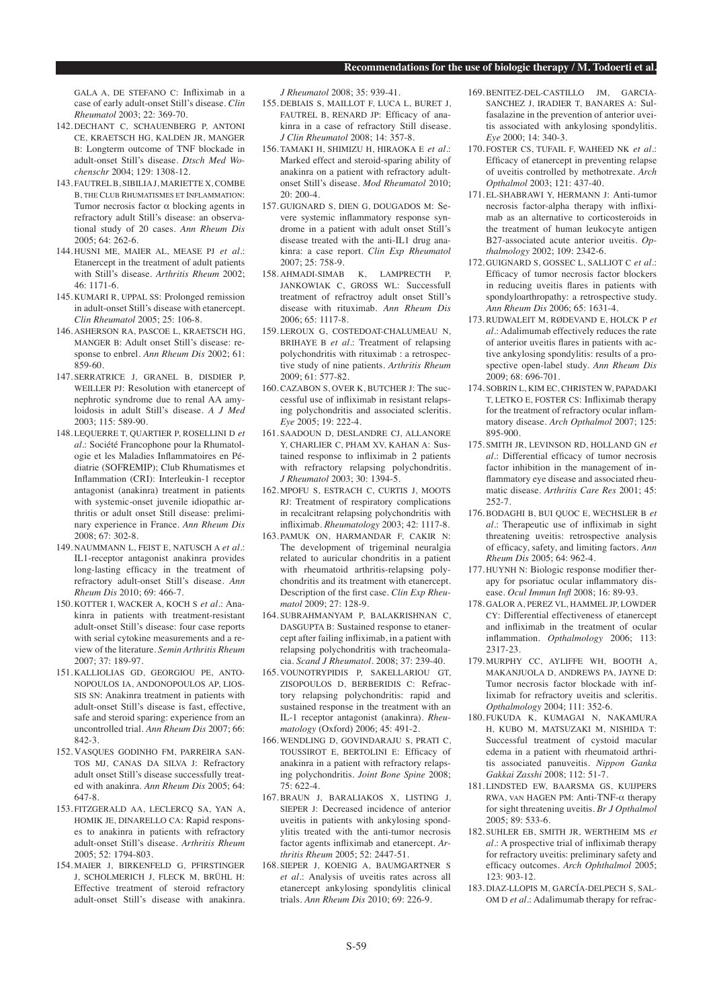GALA A, DE STEFANO C: Infliximab in a case of early adult-onset Still's disease. *Clin Rheumatol* 2003; 22: 369-70.

- 142. DECHANT C, SCHAUENBERG P, ANTONI CE, KRAETSCH HG, KALDEN JR, MANGER B: Longterm outcome of TNF blockade in adult-onset Still's disease. *Dtsch Med Wochenschr* 2004; 129: 1308-12.
- 143. FAUTREL B, SIBILIA J, MARIETTE X, COMBE B, THE CLUB RHUMATISMES ET INFLAMMATION: Tumor necrosis factor  $\alpha$  blocking agents in refractory adult Still's disease: an observational study of 20 cases. *Ann Rheum Dis*  $2005 \cdot 64 \cdot 262 - 6$
- 144. HUSNI ME, MAIER AL, MEASE PJ *et al.*: Etanercept in the treatment of adult patients with Still's disease. *Arthritis Rheum* 2002; 46: 1171-6.
- 145. KUMARI R, UPPAL SS: Prolonged remission in adult-onset Still's disease with etanercept. *Clin Rheumatol* 2005; 25: 106-8.
- 146. ASHERSON RA, PASCOE L, KRAETSCH HG, MANGER B: Adult onset Still's disease: response to enbrel. *Ann Rheum Dis* 2002; 61: 859-60.
- 147. SERRATRICE J, GRANEL B, DISDIER P, WEILLER PJ: Resolution with etanercept of nephrotic syndrome due to renal AA amyloidosis in adult Still's disease. *A J Med* 2003; 115: 589-90.
- 148. LEQUERRE T, QUARTIER P, ROSELLINI D *et al.*: Société Francophone pour la Rhumatologie et les Maladies Inflammatoires en Pédiatrie (SOFREMIP); Club Rhumatismes et Inflammation (CRI): Interleukin-1 receptor antagonist (anakinra) treatment in patients with systemic-onset juvenile idiopathic arthritis or adult onset Still disease: preliminary experience in France. *Ann Rheum Dis*  $2008: 67: 302-8.$
- 149. NAUMMANN L, FEIST E, NATUSCH A *et al.*: IL1-receptor antagonist anakinra provides long-lasting efficacy in the treatment of refractory adult-onset Still's disease. *Ann Rheum Dis* 2010; 69: 466-7.
- 150. KOTTER I, WACKER A, KOCH S *et al.*: Anakinra in patients with treatment-resistant adult-onset Still's disease: four case reports with serial cytokine measurements and a review of the literature. *Semin Arthritis Rheum* 2007; 37: 189-97.
- 151. KALLIOLIAS GD, GEORGIOU PE, ANTO-NOPOULOS IA, ANDONOPOULOS AP, LIOS-SIS SN: Anakinra treatment in patients with adult-onset Still's disease is fast, effective, safe and steroid sparing: experience from an uncontrolled trial. *Ann Rheum Dis* 2007; 66: 842-3.
- 152. VASQUES GODINHO FM, PARREIRA SAN-TOS MJ, CANAS DA SILVA J: Refractory adult onset Still's disease successfully treated with anakinra. *Ann Rheum Dis* 2005; 64: 647-8.
- 153. FITZGERALD AA, LECLERCQ SA, YAN A, HOMIK JE, DINARELLO CA: Rapid responses to anakinra in patients with refractory adult-onset Still's disease. *Arthritis Rheum*  2005; 52: 1794-803.
- 154. MAIER J, BIRKENFELD G, PFIRSTINGER J, SCHOLMERICH J, FLECK M, BRÜHL H: Effective treatment of steroid refractory adult-onset Still's disease with anakinra.

*J Rheumatol* 2008; 35: 939-41.

- 155. DEBIAIS S, MAILLOT F, LUCA L, BURET J, FAUTREL B, RENARD JP: Efficacy of anakinra in a case of refractory Still disease. *J Clin Rheumatol* 2008; 14: 357-8.
- 156. TAMAKI H, SHIMIZU H, HIRAOKA E *et al.*: Marked effect and steroid-sparing ability of anakinra on a patient with refractory adultonset Still's disease. *Mod Rheumatol* 2010;  $20 \cdot 200 - 4$
- 157. GUIGNARD S, DIEN G, DOUGADOS M: Severe systemic inflammatory response syndrome in a patient with adult onset Still's disease treated with the anti-IL1 drug anakinra: a case report. *Clin Exp Rheumatol* 2007; 25: 758-9.
- 158. AHMADI-SIMAB K, LAMPRECTH P, JANKOWIAK C, GROSS WL: Successfull treatment of refractroy adult onset Still's disease with rituximab. *Ann Rheum Dis* 2006; 65: 1117-8.
- 159. LEROUX G, COSTEDOAT-CHALUMEAU N, BRIHAYE B *et al.*: Treatment of relapsing polychondritis with rituximab : a retrospective study of nine patients. *Arthritis Rheum*   $2009.61.577-82$
- 160. CAZABON S, OVER K, BUTCHER J: The successful use of infliximab in resistant relapsing polychondritis and associated scleritis. *Eye* 2005; 19: 222-4.
- 161. SAADOUN D, DESLANDRE CJ, ALLANORE Y, CHARLIER C, PHAM XV, KAHAN A: Sustained response to infliximab in 2 patients with refractory relapsing polychondritis. *J Rheumatol* 2003; 30: 1394-5.
- 162. MPOFU S, ESTRACH C, CURTIS J, MOOTS RJ: Treatment of respiratory complications in recalcitrant relapsing polychondritis with infliximab. *Rheumatology* 2003; 42: 1117-8.
- 163. PAMUK ON, HARMANDAR F, CAKIR N: The development of trigeminal neuralgia related to auricular chondritis in a patient with rheumatoid arthritis-relapsing polychondritis and its treatment with etanercept. Description of the first case. *Clin Exp Rheumatol* 2009; 27: 128-9.
- 164. SUBRAHMANYAM P, BALAKRISHNAN C, DASGUPTA B: Sustained response to etanercept after failing infliximab, in a patient with relapsing polychondritis with tracheomalacia*. Scand J Rheumatol.* 2008; 37: 239-40.
- 165. VOUNOTRYPIDIS P, SAKELLARIOU GT, ZISOPOULOS D, BERBERIDIS C: Refractory relapsing polychondritis: rapid and sustained response in the treatment with an IL-1 receptor antagonist (anakinra). *Rheumatology* (Oxford) 2006; 45: 491-2.
- 166. WENDLING D, GOVINDARAJU S, PRATI C, TOUSSIROT E, BERTOLINI E: Efficacy of anakinra in a patient with refractory relapsing polychondritis*. Joint Bone Spine* 2008; 75: 622-4.
- 167. BRAUN J, BARALIAKOS X, LISTING J, SIEPER J: Decreased incidence of anterior uveitis in patients with ankylosing spondylitis treated with the anti-tumor necrosis factor agents infliximab and etanercept. *Arthritis Rheum* 2005; 52: 2447-51.
- 168. SIEPER J, KOENIG A, BAUMGARTNER S *et al.*: Analysis of uveitis rates across all etanercept ankylosing spondylitis clinical trials. *Ann Rheum Dis* 2010; 69: 226-9.
- 169. BENITEZ-DEL-CASTILLO IM GARCIA-SANCHEZ J, IRADIER T, BANARES A: Sulfasalazine in the prevention of anterior uveitis associated with ankylosing spondylitis. *Eye* 2000; 14: 340-3.
- 170. FOSTER CS, TUFAIL F, WAHEED NK *et al.*: Efficacy of etanercept in preventing relapse of uveitis controlled by methotrexate. *Arch Opthalmol* 2003; 121: 437-40.
- 171. EL-SHABRAWI Y, HERMANN J: Anti-tumor necrosis factor-alpha therapy with infliximab as an alternative to corticosteroids in the treatment of human leukocyte antigen B27-associated acute anterior uveitis. *Opthalmology* 2002; 109: 2342-6.
- 172. GUIGNARD S, GOSSEC L, SALLIOT C *et al.*: Efficacy of tumor necrosis factor blockers in reducing uveitis flares in patients with spondyloarthropathy: a retrospective study. *Ann Rheum Dis* 2006; 65: 1631-4.
- 173. RUDWALEIT M, RØDEVAND E, HOLCK P *et al.*: Adalimumab effectively reduces the rate of anterior uveitis flares in patients with active ankylosing spondylitis: results of a prospective open-label study. *Ann Rheum Dis* 2009; 68: 696-701.
- 174. SOBRIN L, KIM EC, CHRISTEN W, PAPADAKI T, LETKO E, FOSTER CS: Infliximab therapy for the treatment of refractory ocular inflammatory disease. *Arch Opthalmol* 2007; 125: 895-900.
- 175. SMITH JR, LEVINSON RD, HOLLAND GN *et al.*: Differential efficacy of tumor necrosis factor inhibition in the management of inflammatory eye disease and associated rheumatic disease. *Arthritis Care Res* 2001; 45: 252-7.
- 176. BODAGHI B, BUI QUOC E, WECHSLER B *et al.*: Therapeutic use of infliximab in sight threatening uveitis: retrospective analysis of efficacy, safety, and limiting factors. *Ann Rheum Dis* 2005; 64: 962-4.
- 177. HUYNH N: Biologic response modifier therapy for psoriatuc ocular inflammatory disease. *Ocul Immun Infl* 2008; 16: 89-93.
- 178. GALOR A, PEREZ VL, HAMMEL JP, LOWDER CY: Differential effectiveness of etanercept and infliximab in the treatment of ocular inflammation. *Opthalmology* 2006; 113: 2317-23.
- 179. MURPHY CC, AYLIFFE WH, BOOTH A, MAKANJUOLA D, ANDREWS PA, JAYNE D: Tumor necrosis factor blockade with infliximab for refractory uveitis and scleritis. *Opthalmology* 2004; 111: 352-6.
- 180. FUKUDA K, KUMAGAI N, NAKAMURA H, KUBO M, MATSUZAKI M, NISHIDA T: Successful treatment of cystoid macular edema in a patient with rheumatoid arthritis associated panuveitis. *Nippon Ganka Gakkai Zasshi* 2008; 112: 51-7.
- 181. LINDSTED EW, BAARSMA GS, KUIJPERS RWA, VAN HAGEN PM: Anti-TNF-α therapy for sight threatening uveitis. *Br J Opthalmol* 2005; 89: 533-6.
- 182. SUHLER EB, SMITH JR, WERTHEIM MS *et al.*: A prospective trial of infliximab therapy for refractory uveitis: preliminary safety and efficacy outcomes. *Arch Ophthalmol* 2005; 123: 903-12.
- 183. DIAZ-LLOPIS M, GARCÍA-DELPECH S, SAL-OM D *et al*.: Adalimumab therapy for refrac-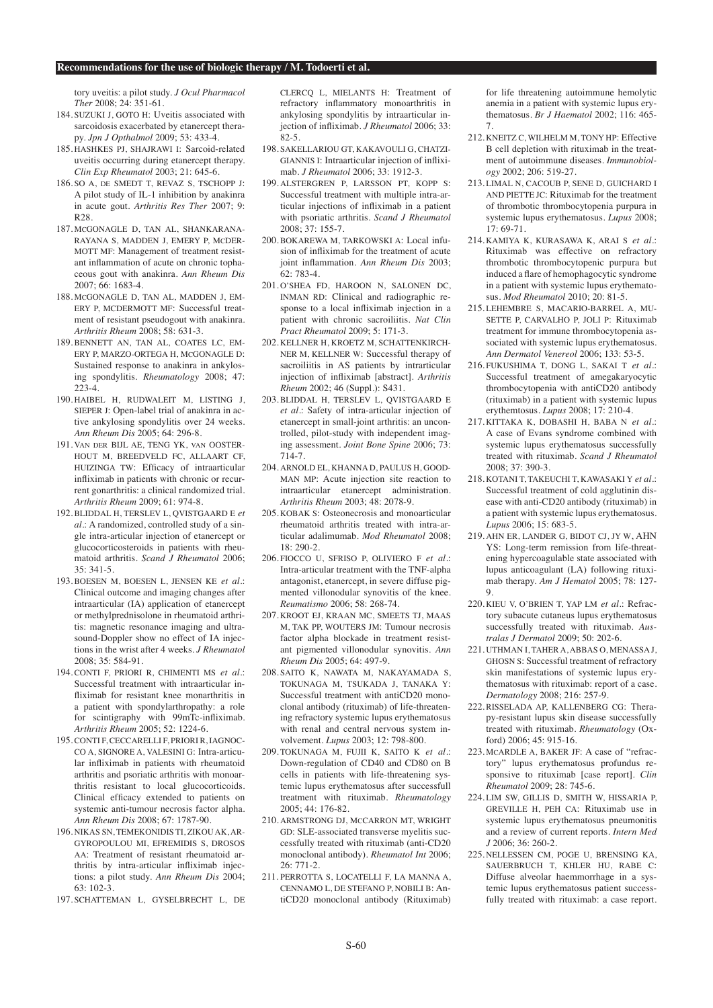tory uveitis: a pilot study. *J Ocul Pharmacol Ther* 2008; 24: 351-61.

- 184. SUZUKI J, GOTO H: Uveitis associated with sarcoidosis exacerbated by etanercept therapy. *Jpn J Opthalmol* 2009; 53: 433-4.
- 185. HASHKES PJ, SHAJRAWI I: Sarcoid-related uveitis occurring during etanercept therapy. *Clin Exp Rheumatol* 2003; 21: 645-6.
- 186. SO A, DE SMEDT T, REVAZ S, TSCHOPP J: A pilot study of IL-1 inhibition by anakinra in acute gout. *Arthritis Res Ther* 2007; 9: R28.
- 187. MCGONAGLE D, TAN AL, SHANKARANA-RAYANA S, MADDEN J, EMERY P, MCDER-MOTT MF: Management of treatment resistant inflammation of acute on chronic tophaceous gout with anakinra. *Ann Rheum Dis*   $2007 \cdot 66 \cdot 1683 - 4$ .
- 188. MCGONAGLE D, TAN AL, MADDEN J, EM-ERY P, MCDERMOTT MF: Successful treatment of resistant pseudogout with anakinra. *Arthritis Rheum* 2008; 58: 631-3.
- 189. BENNETT AN, TAN AL, COATES LC, EM-ERY P, MARZO-ORTEGA H, MCGONAGLE D: Sustained response to anakinra in ankylosing spondylitis. *Rheumatology* 2008; 47: 223-4.
- 190. HAIBEL H, RUDWALEIT M, LISTING J, SIEPER J: Open-label trial of anakinra in active ankylosing spondylitis over 24 weeks. *Ann Rheum Dis* 2005; 64: 296-8.
- 191. VAN DER BIJL AE, TENG YK, VAN OOSTER-HOUT M, BREEDVELD FC, ALLAART CF, HUIZINGA TW: Efficacy of intraarticular infliximab in patients with chronic or recurrent gonarthritis: a clinical randomized trial. *Arthritis Rheum* 2009; 61: 974-8.
- 192. BLIDDAL H, TERSLEV L, QVISTGAARD E *et al.*: A randomized, controlled study of a single intra-articular injection of etanercept or glucocorticosteroids in patients with rheumatoid arthritis. *Scand J Rheumatol* 2006; 35: 341-5.
- 193. BOESEN M, BOESEN L, JENSEN KE *et al.*: Clinical outcome and imaging changes after intraarticular (IA) application of etanercept or methylprednisolone in rheumatoid arthritis: magnetic resonance imaging and ultrasound-Doppler show no effect of IA injections in the wrist after 4 weeks. *J Rheumatol* 2008; 35: 584-91.
- 194. CONTI F, PRIORI R, CHIMENTI MS *et al.*: Successful treatment with intraarticular infliximab for resistant knee monarthritis in a patient with spondylarthropathy: a role for scintigraphy with 99mTc-infliximab. *Arthritis Rheum* 2005; 52: 1224-6.
- 195. CONTI F, CECCARELLI F, PRIORI R, IAGNOC-CO A, SIGNORE A, VALESINI G: Intra-articular infliximab in patients with rheumatoid arthritis and psoriatic arthritis with monoarthritis resistant to local glucocorticoids. Clinical efficacy extended to patients on systemic anti-tumour necrosis factor alpha. *Ann Rheum Dis* 2008; 67: 1787-90.
- 196. NIKAS SN, TEMEKONIDIS TI, ZIKOU AK, AR-GYROPOULOU MI, EFREMIDIS S, DROSOS AA: Treatment of resistant rheumatoid arthritis by intra-articular infliximab injections: a pilot study. *Ann Rheum Dis* 2004;  $63 \cdot 102 - 3$
- 197. SCHATTEMAN L, GYSELBRECHT L, DE

CLERCQ L, MIELANTS H: Treatment of refractory inflammatory monoarthritis in ankylosing spondylitis by intraarticular injection of infliximab. *J Rheumatol* 2006; 33: 82-5.

- 198. SAKELLARIOU GT, KAKAVOULI G, CHATZI-GIANNIS I: Intraarticular injection of infliximab. *J Rheumatol* 2006; 33: 1912-3.
- 199. ALSTERGREN P, LARSSON PT, KOPP S: Successful treatment with multiple intra-articular injections of infliximab in a patient with psoriatic arthritis. *Scand J Rheumatol*  $2008 \cdot 37:155-7$ .
- 200. BOKAREWA M, TARKOWSKI A: Local infusion of infliximab for the treatment of acute joint inflammation. *Ann Rheum Dis* 2003;  $62.783 - 4$
- 201. O'SHEA FD, HAROON N, SALONEN DC, INMAN RD: Clinical and radiographic response to a local infliximab injection in a patient with chronic sacroiliitis. *Nat Clin Pract Rheumatol* 2009; 5: 171-3.
- 202. KELLNER H, KROETZ M, SCHATTENKIRCH-NER M, KELLNER W: Successful therapy of sacroiliitis in AS patients by intrarticular injection of infliximab [abstract]. *Arthritis Rheum* 2002; 46 (Suppl.): S431.
- 203. BLIDDAL H, TERSLEV L, QVISTGAARD E *et al.*: Safety of intra-articular injection of etanercept in small-joint arthritis: an uncontrolled, pilot-study with independent imaging assessment. *Joint Bone Spine* 2006; 73: 714-7.
- 204. ARNOLD EL, KHANNA D, PAULUS H, GOOD-MAN MP: Acute injection site reaction to intraarticular etanercept administration. *Arthritis Rheum* 2003; 48: 2078-9.
- 205. KOBAK S: Osteonecrosis and monoarticular rheumatoid arthritis treated with intra-articular adalimumab. *Mod Rheumatol* 2008; 18: 290-2.
- 206. FIOCCO U, SFRISO P, OLIVIERO F *et al.*: Intra-articular treatment with the TNF-alpha antagonist, etanercept, in severe diffuse pigmented villonodular synovitis of the knee. *Reumatismo* 2006; 58: 268-74.
- 207. KROOT EJ, KRAAN MC, SMEETS TJ, MAAS M, TAK PP, WOUTERS JM: Tumour necrosis factor alpha blockade in treatment resistant pigmented villonodular synovitis. *Ann Rheum Dis* 2005; 64: 497-9.
- 208. SAITO K, NAWATA M, NAKAYAMADA S, TOKUNAGA M, TSUKADA J, TANAKA Y: Successful treatment with antiCD20 monoclonal antibody (rituximab) of life-threatening refractory systemic lupus erythematosus with renal and central nervous system involvement. *Lupus* 2003; 12: 798-800.
- 209. TOKUNAGA M, FUJII K, SAITO K *et al.*: Down-regulation of CD40 and CD80 on B cells in patients with life-threatening systemic lupus erythematosus after successfull treatment with rituximab. *Rheumatology*  2005; 44: 176-82.
- 210. ARMSTRONG DJ, MCCARRON MT, WRIGHT GD: SLE-associated transverse myelitis successfully treated with rituximab (anti-CD20 monoclonal antibody). *Rheumatol Int* 2006; 26: 771-2.
- 211. PERROTTA S, LOCATELLI F, LA MANNA A, CENNAMO L, DE STEFANO P, NOBILI B: AntiCD20 monoclonal antibody (Rituximab)

for life threatening autoimmune hemolytic anemia in a patient with systemic lupus erythematosus. *Br J Haematol* 2002; 116: 465- 7.

- 212. KNEITZ C, WILHELM M, TONY HP: Effective B cell depletion with rituximab in the treatment of autoimmune diseases. *Immunobiology* 2002; 206: 519-27.
- 213. LIMAL N, CACOUB P, SENE D, GUICHARD I AND PIETTE JC: Rituximab for the treatment of thrombotic thrombocytopenia purpura in systemic lupus erythematosus. *Lupus* 2008;  $17:69-71$ .
- 214. KAMIYA K, KURASAWA K, ARAI S *et al.*: Rituximab was effective on refractory thrombotic thrombocytopenic purpura but induced a flare of hemophagocytic syndrome in a patient with systemic lupus erythematosus. *Mod Rheumatol* 2010; 20: 81-5.
- 215. LEHEMBRE S, MACARIO-BARREL A, MU-SETTE P, CARVALHO P, JOLI P: Rituximab treatment for immune thrombocytopenia associated with systemic lupus erythematosus. *Ann Dermatol Venereol* 2006; 133: 53-5.
- 216. FUKUSHIMA T, DONG L, SAKAI T *et al.*: Successful treatment of amegakaryocytic thrombocytopenia with antiCD20 antibody (rituximab) in a patient with systemic lupus erythemtosus. *Lupus* 2008; 17: 210-4.
- 217. KITTAKA K, DOBASHI H, BABA N *et al.*: A case of Evans syndrome combined with systemic lupus erythematosus successfully treated with rituximab. *Scand J Rheumatol* 2008; 37: 390-3.
- 218. KOTANI T, TAKEUCHI T, KAWASAKI Y *et al.*: Successful treatment of cold agglutinin disease with anti-CD20 antibody (rituximab) in a patient with systemic lupus erythematosus. *Lupus* 2006; 15: 683-5.
- 219. AHN ER, LANDER G, BIDOT CJ, JY W, AHN YS: Long-term remission from life-threatening hypercoagulable state associated with lupus anticoagulant (LA) following rituximab therapy. *Am J Hematol* 2005; 78: 127- 9.
- 220. KIEU V, O'BRIEN T, YAP LM *et al.*: Refractory subacute cutaneus lupus erythematosus successfully treated with rituximab. *Australas J Dermatol* 2009; 50: 202-6.
- 221. UTHMAN I, TAHER A, ABBAS O, MENASSA J, GHOSN S: Successful treatment of refractory skin manifestations of systemic lupus erythematosus with rituximab: report of a case. *Dermatology* 2008; 216: 257-9.
- 222. RISSELADA AP, KALLENBERG CG: Therapy-resistant lupus skin disease successfully treated with rituximab. *Rheumatology* (Oxford) 2006; 45: 915-16.
- 223. MCARDLE A, BAKER JF: A case of "refractory" lupus erythematosus profundus responsive to rituximab [case report]. *Clin Rheumatol* 2009; 28: 745-6.
- 224 LIM SW, GILLIS D, SMITH W, HISSARIA P GREVILLE H, PEH CA: Rituximab use in systemic lupus erythematosus pneumonitis and a review of current reports. *Intern Med J* 2006; 36: 260-2.
- 225. NELLESSEN CM, POGE U, BRENSING KA, SAUERBRUCH T, KHLER HU, RABE C: Diffuse alveolar haemmorrhage in a systemic lupus erythematosus patient successfully treated with rituximab: a case report.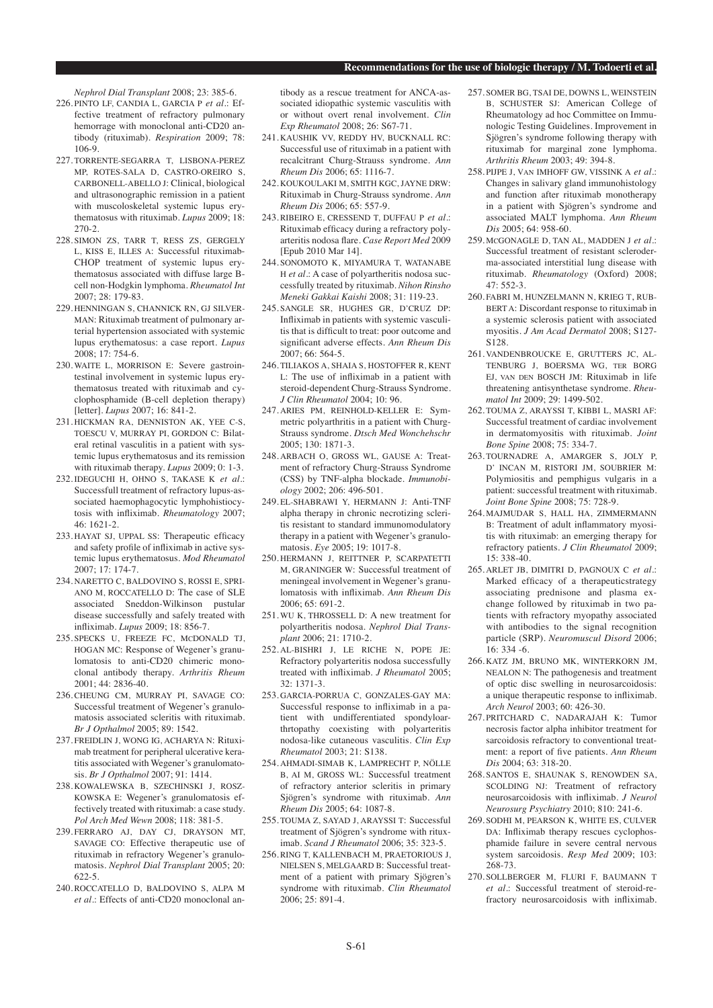*Nephrol Dial Transplant* 2008; 23: 385-6.

- 226. PINTO LF, CANDIA L, GARCIA P *et al.*: Effective treatment of refractory pulmonary hemorrage with monoclonal anti-CD20 antibody (rituximab). *Respiration* 2009; 78: 106-9.
- 227. TORRENTE-SEGARRA T, LISBONA-PEREZ MP, ROTES-SALA D, CASTRO-OREIRO S, CARBONELL-ABELLO J: Clinical, biological and ultrasonographic remission in a patient with muscoloskeletal systemic lupus erythematosus with rituximab. *Lupus* 2009; 18: 270-2.
- 228. SIMON ZS, TARR T, RESS ZS, GERGELY L, KISS E, ILLES A: Successful rituximab-CHOP treatment of systemic lupus erythematosus associated with diffuse large Bcell non-Hodgkin lymphoma. *Rheumatol Int* 2007; 28: 179-83.
- 229. HENNINGAN S, CHANNICK RN, GJ SILVER-MAN: Rituximab treatment of pulmonary arterial hypertension associated with systemic lupus erythematosus: a case report. *Lupus*  $2008: 17: 754-6$
- 230. WAITE L, MORRISON E: Severe gastrointestinal involvement in systemic lupus erythematosus treated with rituximab and cyclophosphamide (B-cell depletion therapy) [letter]. *Lupus* 2007; 16: 841-2.
- 231. HICKMAN RA, DENNISTON AK, YEE C-S, TOESCU V, MURRAY PI, GORDON C: Bilateral retinal vasculitis in a patient with systemic lupus erythematosus and its remission with rituximab therapy. *Lupus* 2009; 0: 1-3.
- 232. IDEGUCHI H, OHNO S, TAKASE K *et al.*: Successfull treatment of refractory lupus-associated haemophagocytic lymphohistiocytosis with infliximab. *Rheumatology* 2007; 46: 1621-2.
- 233. HAYAT SJ, UPPAL SS: Therapeutic efficacy and safety profile of infliximab in active systemic lupus erythematosus. *Mod Rheumatol* 2007; 17: 174-7.
- 234. NARETTO C, BALDOVINO S, ROSSI E, SPRI-ANO M, ROCCATELLO D: The case of SLE associated Sneddon-Wilkinson pustular disease successfully and safely treated with infliximab. *Lupus* 2009; 18: 856-7.
- 235. SPECKS U, FREEZE FC, MCDONALD TJ, HOGAN MC: Response of Wegener's granulomatosis to anti-CD20 chimeric monoclonal antibody therapy. *Arthritis Rheum* 2001; 44: 2836-40.
- 236. CHEUNG CM, MURRAY PI, SAVAGE CO: Successful treatment of Wegener's granulomatosis associated scleritis with rituximab. *Br J Opthalmol* 2005; 89: 1542.
- 237. FREIDLIN J, WONG IG, ACHARYA N: Rituximab treatment for peripheral ulcerative keratitis associated with Wegener's granulomatosis. *Br J Opthalmol* 2007; 91: 1414.
- 238. KOWALEWSKA B, SZECHINSKI J, ROSZ-KOWSKA E: Wegener's granulomatosis effectively treated with rituximab: a case study. *Pol Arch Med Wewn* 2008; 118: 381-5.
- 239. FERRARO AJ, DAY CJ, DRAYSON MT, SAVAGE CO: Effective therapeutic use of rituximab in refractory Wegener's granulomatosis. *Nephrol Dial Transplant* 2005; 20: 622-5.
- 240. ROCCATELLO D, BALDOVINO S, ALPA M *et al.*: Effects of anti-CD20 monoclonal an-

tibody as a rescue treatment for ANCA-associated idiopathic systemic vasculitis with or without overt renal involvement. *Clin Exp Rheumatol* 2008; 26: S67-71.

- 241. KAUSHIK VV, REDDY HV, BUCKNALL RC: Successful use of rituximab in a patient with recalcitrant Churg-Strauss syndrome. *Ann Rheum Dis* 2006; 65: 1116-7.
- 242. KOUKOULAKI M, SMITH KGC, JAYNE DRW: Rituximab in Churg-Strauss syndrome. *Ann Rheum Dis* 2006; 65: 557-9.
- 243. RIBEIRO E, CRESSEND T, DUFFAU P *et al.*: Rituximab efficacy during a refractory polyarteritis nodosa flare. *Case Report Med* 2009 [Epub 2010 Mar 14].
- 244. SONOMOTO K, MIYAMURA T, WATANABE H et al.: A case of polyartheritis nodosa successfully treated by rituximab. *Nihon Rinsho Meneki Gakkai Kaishi* 2008; 31: 119-23.
- 245. SANGLE SR, HUGHES GR, D'CRUZ DP: Infliximab in patients with systemic vasculitis that is difficult to treat: poor outcome and significant adverse effects. *Ann Rheum Dis*  $2007.66.564.5$
- 246. TILIAKOS A, SHAIA S, HOSTOFFER R, KENT L: The use of infliximab in a patient with steroid-dependent Churg-Strauss Syndrome. *J Clin Rheumatol* 2004; 10: 96.
- 247. ARIES PM, REINHOLD-KELLER E: Symmetric polyarthritis in a patient with Churg-Strauss syndrome. *Dtsch Med Wonchehschr*  $2005 \cdot 130 \cdot 1871 - 3$
- 248. ARBACH O, GROSS WL, GAUSE A: Treatment of refractory Churg-Strauss Syndrome (CSS) by TNF-alpha blockade. *Immunobiology* 2002; 206: 496-501.
- 249. EL-SHABRAWI Y, HERMANN J: Anti-TNF alpha therapy in chronic necrotizing scleritis resistant to standard immunomodulatory therapy in a patient with Wegener's granulomatosis. *Eye* 2005; 19: 1017-8.
- 250. HERMANN J, REITTNER P, SCARPATETTI M, GRANINGER W: Successful treatment of meningeal involvement in Wegener's granulomatosis with infliximab. *Ann Rheum Dis* 2006; 65: 691-2.
- 251. WU K, THROSSELL D: A new treatment for polyartheritis nodosa. *Nephrol Dial Transplant* 2006; 21: 1710-2.
- 252. AL-BISHRI J, LE RICHE N, POPE JE: Refractory polyarteritis nodosa successfully treated with infliximab. *J Rheumatol* 2005;  $32 \cdot 1371 - 3$
- 253. GARCIA-PORRUA C, GONZALES-GAY MA: Successful response to infliximab in a patient with undifferentiated spondyloarthrtopathy coexisting with polyarteritis nodosa-like cutaneous vasculitis. *Clin Exp Rheumatol* 2003; 21: S138.
- 254. AHMADI-SIMAB K, LAMPRECHT P, NÖLLE B, AI M, GROSS WL: Successful treatment of refractory anterior scleritis in primary Sjögren's syndrome with rituximab. *Ann Rheum Dis* 2005; 64: 1087-8.
- 255. TOUMA Z, SAYAD J, ARAYSSI T: Successful treatment of Sjögren's syndrome with rituximab. *Scand J Rheumatol* 2006; 35: 323-5.
- 256. RING T, KALLENBACH M, PRAETORIOUS J, NIELSEN S, MELGAARD B: Successful treatment of a patient with primary Sjögren's syndrome with rituximab. *Clin Rheumatol* 2006; 25: 891-4.
- 257. SOMER BG, TSAI DE, DOWNS L, WEINSTEIN B, SCHUSTER SJ: American College of Rheumatology ad hoc Committee on Immunologic Testing Guidelines. Improvement in Sjögren's syndrome following therapy with rituximab for marginal zone lymphoma. *Arthritis Rheum* 2003; 49: 394-8.
- 258. PIJPE J, VAN IMHOFF GW, VISSINK A *et al.*: Changes in salivary gland immunohistology and function after rituximab monotherapy in a patient with Sjögren's syndrome and associated MALT lymphoma. *Ann Rheum Dis* 2005; 64: 958-60.
- 259. MCGONAGLE D, TAN AL, MADDEN J *et al.*: Successful treatment of resistant scleroderma-associated interstitial lung disease with rituximab. *Rheumatology* (Oxford) 2008; 47: 552-3.
- 260. FABRI M, HUNZELMANN N, KRIEG T, RUB-BERT A: Discordant response to rituximab in a systemic sclerosis patient with associated myositis. *J Am Acad Dermatol* 2008; S127- S128.
- 261. VANDENBROUCKE E, GRUTTERS JC, AL-TENBURG J, BOERSMA WG, TER BORG EJ, VAN DEN BOSCH JM: Rituximab in life threatening antisynthetase syndrome. *Rheumatol Int* 2009; 29: 1499-502.
- 262. TOUMA Z, ARAYSSI T, KIBBI L, MASRI AF: Successful treatment of cardiac involvement in dermatomyositis with rituximab. *Joint Bone Spine* 2008; 75: 334-7.
- 263. TOURNADRE A, AMARGER S, JOLY P, D' INCAN M, RISTORI JM, SOUBRIER M: Polymiositis and pemphigus vulgaris in a patient: successful treatment with rituximab. *Joint Bone Spine* 2008; 75: 728-9.
- 264. MAJMUDAR S, HALL HA, ZIMMERMANN B: Treatment of adult inflammatory myositis with rituximab: an emerging therapy for refractory patients. *J Clin Rheumatol* 2009; 15: 338-40.
- 265. ARLET JB, DIMITRI D, PAGNOUX C *et al.*: Marked efficacy of a therapeuticstrategy associating prednisone and plasma exchange followed by rituximab in two patients with refractory myopathy associated with antibodies to the signal recognition particle (SRP). *Neuromuscul Disord* 2006;  $16: 334 - 6.$
- 266. KATZ JM, BRUNO MK, WINTERKORN JM, NEALON N: The pathogenesis and treatment of optic disc swelling in neurosarcoidosis: a unique therapeutic response to infliximab. *Arch Neurol* 2003; 60: 426-30.
- 267. PRITCHARD C, NADARAJAH K: Tumor necrosis factor alpha inhibitor treatment for sarcoidosis refractory to conventional treatment: a report of five patients. *Ann Rheum Dis* 2004; 63: 318-20.
- 268. SANTOS E, SHAUNAK S, RENOWDEN SA, SCOLDING NJ: Treatment of refractory neurosarcoidosis with infliximab. *J Neurol Neurosurg Psychiatry* 2010; 810: 241-6.
- 269. SODHI M, PEARSON K, WHITE ES, CULVER DA: Infliximab therapy rescues cyclophosphamide failure in severe central nervous system sarcoidosis. *Resp Med* 2009; 103: 268-73.
- 270. SOLLBERGER M, FLURI F, BAUMANN T *et al.*: Successful treatment of steroid-refractory neurosarcoidosis with infliximab.